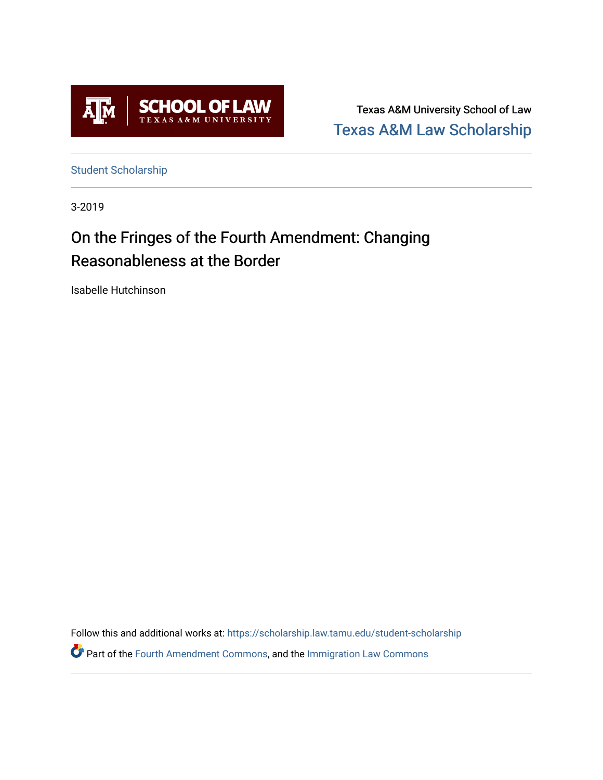

Texas A&M University School of Law [Texas A&M Law Scholarship](https://scholarship.law.tamu.edu/) 

[Student Scholarship](https://scholarship.law.tamu.edu/student-scholarship)

3-2019

# On the Fringes of the Fourth Amendment: Changing Reasonableness at the Border

Isabelle Hutchinson

Follow this and additional works at: [https://scholarship.law.tamu.edu/student-scholarship](https://scholarship.law.tamu.edu/student-scholarship?utm_source=scholarship.law.tamu.edu%2Fstudent-scholarship%2F37&utm_medium=PDF&utm_campaign=PDFCoverPages) 

Part of the [Fourth Amendment Commons,](https://network.bepress.com/hgg/discipline/1180?utm_source=scholarship.law.tamu.edu%2Fstudent-scholarship%2F37&utm_medium=PDF&utm_campaign=PDFCoverPages) and the [Immigration Law Commons](https://network.bepress.com/hgg/discipline/604?utm_source=scholarship.law.tamu.edu%2Fstudent-scholarship%2F37&utm_medium=PDF&utm_campaign=PDFCoverPages)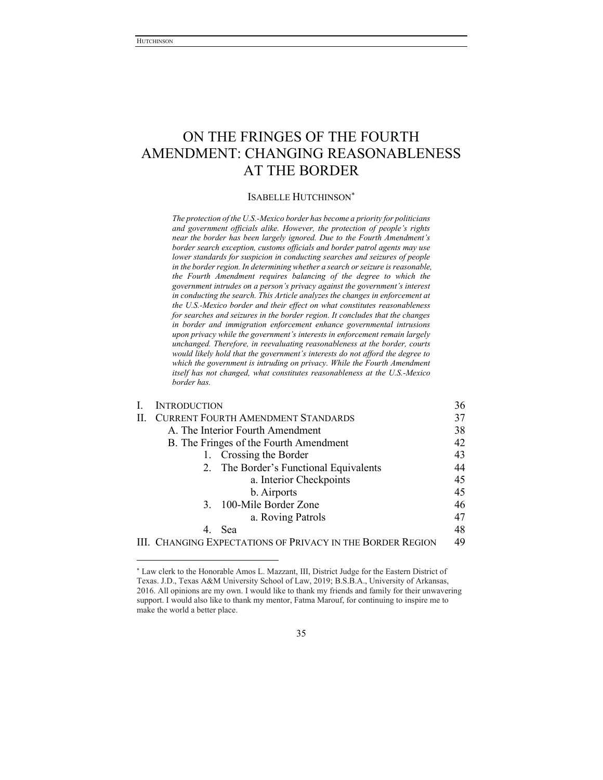# ON THE FRINGES OF THE FOURTH AMENDMENT: CHANGING REASONABLENESS AT THE BORDER

#### ISABELLE HUTCHINSON

*The protection of the U.S.-Mexico border has become a priority for politicians*  and government officials alike. However, the protection of people's rights *near the border has been largely ignored. Due to the Fourth Amendment's border search exception, customs officials and border patrol agents may use lower standards for suspicion in conducting searches and seizures of people in the border region. In determining whether a search or seizure is reasonable, the Fourth Amendment requires balancing of the degree to which the*  government intrudes on a person's privacy against the government's interest *in conducting the search. This Article analyzes the changes in enforcement at the U.S.-Mexico border and their effect on what constitutes reasonableness for searches and seizures in the border region. It concludes that the changes in border and immigration enforcement enhance governmental intrusions upon privacy while the government's interests in enforcement remain largely unchanged. Therefore, in reevaluating reasonableness at the border, courts would likely hold that the government's interests do not afford the degree to which the government is intruding on privacy. While the Fourth Amendment itself has not changed, what constitutes reasonableness at the U.S.-Mexico border has.*

|    | <b>INTRODUCTION</b>                                        | 36 |
|----|------------------------------------------------------------|----|
| П. | <b>CURRENT FOURTH AMENDMENT STANDARDS</b>                  | 37 |
|    | A. The Interior Fourth Amendment                           | 38 |
|    | B. The Fringes of the Fourth Amendment                     | 42 |
|    | 1. Crossing the Border                                     | 43 |
|    | 2. The Border's Functional Equivalents                     | 44 |
|    | a. Interior Checkpoints                                    | 45 |
|    | b. Airports                                                | 45 |
|    | 3. 100-Mile Border Zone                                    | 46 |
|    | a. Roving Patrols                                          | 47 |
|    | 4. Sea                                                     | 48 |
|    | III. CHANGING EXPECTATIONS OF PRIVACY IN THE BORDER REGION | 49 |

 Law clerk to the Honorable Amos L. Mazzant, III, District Judge for the Eastern District of Texas. J.D., Texas A&M University School of Law, 2019; B.S.B.A., University of Arkansas, 2016. All opinions are my own. I would like to thank my friends and family for their unwavering support. I would also like to thank my mentor, Fatma Marouf, for continuing to inspire me to make the world a better place.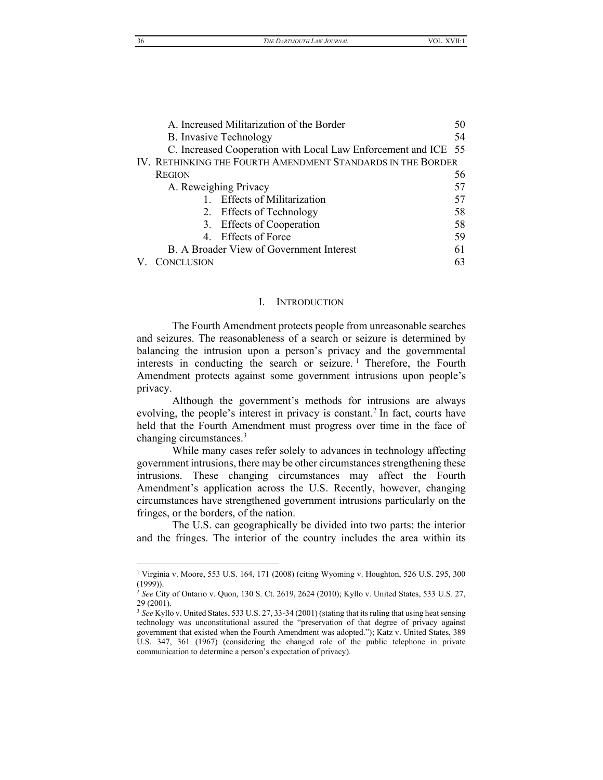36 *THE DARTMOUTH LAW JOURNAL* VOL. XVII:1

| A. Increased Militarization of the Border                      | 50 |  |  |
|----------------------------------------------------------------|----|--|--|
| <b>B.</b> Invasive Technology                                  | 54 |  |  |
| C. Increased Cooperation with Local Law Enforcement and ICE 55 |    |  |  |
| IV. RETHINKING THE FOURTH AMENDMENT STANDARDS IN THE BORDER    |    |  |  |
| <b>REGION</b>                                                  | 56 |  |  |
| A. Reweighing Privacy                                          | 57 |  |  |
| 1. Effects of Militarization                                   | 57 |  |  |
| 2. Effects of Technology                                       | 58 |  |  |
| 3. Effects of Cooperation                                      | 58 |  |  |
| 4. Effects of Force                                            | 59 |  |  |
| B. A Broader View of Government Interest                       | 61 |  |  |
| V. CONCLUSION                                                  | 63 |  |  |
|                                                                |    |  |  |

# I. INTRODUCTION

<span id="page-2-0"></span>The Fourth Amendment protects people from unreasonable searches and seizures. The reasonableness of a search or seizure is determined by balancing the intrusion upon a person's privacy and the governmental interests in conducting the search or seizure.<sup>1</sup> Therefore, the Fourth Amendment protects against some government intrusions upon people's privacy.

Although the government's methods for intrusions are always evolving, the people's interest in privacy is constant.<sup>2</sup> In fact, courts have held that the Fourth Amendment must progress over time in the face of changing circumstances.3

While many cases refer solely to advances in technology affecting government intrusions, there may be other circumstances strengthening these intrusions. These changing circumstances may affect the Fourth Amendment's application across the U.S. Recently, however, changing circumstances have strengthened government intrusions particularly on the fringes, or the borders, of the nation.

The U.S. can geographically be divided into two parts: the interior and the fringes. The interior of the country includes the area within its

<sup>&</sup>lt;sup>1</sup> Virginia v. Moore, 553 U.S. 164, 171 (2008) (citing Wyoming v. Houghton, 526 U.S. 295, 300  $(1999)$ ).

<sup>2</sup> *See* City of Ontario v. Quon, 130 S. Ct. 2619, 2624 (2010); Kyllo v. United States, 533 U.S. 27, 29 (2001).

<sup>&</sup>lt;sup>3</sup> See Kyllo v. United States, 533 U.S. 27, 33-34 (2001) (stating that its ruling that using heat sensing technology was unconstitutional assured the "preservation of that degree of privacy against government that existed when the Fourth Amendment was adopted."); Katz v. United States, 389 U.S. 347, 361 (1967) (considering the changed role of the public telephone in private communication to determine a person's expectation of privacy).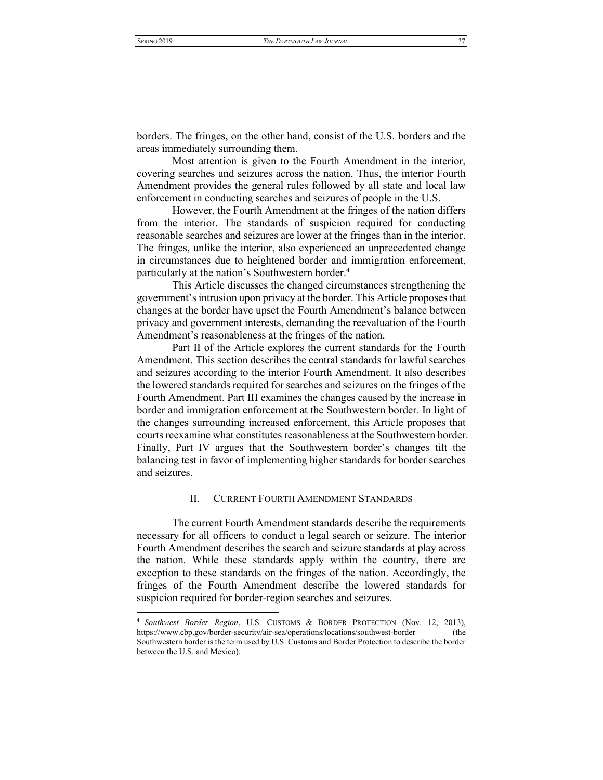borders. The fringes, on the other hand, consist of the U.S. borders and the areas immediately surrounding them.

Most attention is given to the Fourth Amendment in the interior, covering searches and seizures across the nation. Thus, the interior Fourth Amendment provides the general rules followed by all state and local law enforcement in conducting searches and seizures of people in the U.S.

However, the Fourth Amendment at the fringes of the nation differs from the interior. The standards of suspicion required for conducting reasonable searches and seizures are lower at the fringes than in the interior. The fringes, unlike the interior, also experienced an unprecedented change in circumstances due to heightened border and immigration enforcement, particularly at the nation's Southwestern border.<sup>4</sup>

This Article discusses the changed circumstances strengthening the government's intrusion upon privacy at the border. This Article proposes that changes at the border have upset the Fourth Amendment's balance between privacy and government interests, demanding the reevaluation of the Fourth Amendment's reasonableness at the fringes of the nation.

Part II of the Article explores the current standards for the Fourth Amendment. This section describes the central standards for lawful searches and seizures according to the interior Fourth Amendment. It also describes the lowered standards required for searches and seizures on the fringes of the Fourth Amendment. Part III examines the changes caused by the increase in border and immigration enforcement at the Southwestern border. In light of the changes surrounding increased enforcement, this Article proposes that courts reexamine what constitutes reasonableness at the Southwestern border. Finally, Part IV argues that the Southwestern border's changes tilt the balancing test in favor of implementing higher standards for border searches and seizures.

# II. CURRENT FOURTH AMENDMENT STANDARDS

<span id="page-3-0"></span>The current Fourth Amendment standards describe the requirements necessary for all officers to conduct a legal search or seizure. The interior Fourth Amendment describes the search and seizure standards at play across the nation. While these standards apply within the country, there are exception to these standards on the fringes of the nation. Accordingly, the fringes of the Fourth Amendment describe the lowered standards for suspicion required for border-region searches and seizures.

<sup>4</sup> *Southwest Border Region*, U.S. CUSTOMS & BORDER PROTECTION (Nov. 12, 2013), https://www.cbp.gov/border-security/air-sea/operations/locations/southwest-border (the Southwestern border is the term used by U.S. Customs and Border Protection to describe the border between the U.S. and Mexico).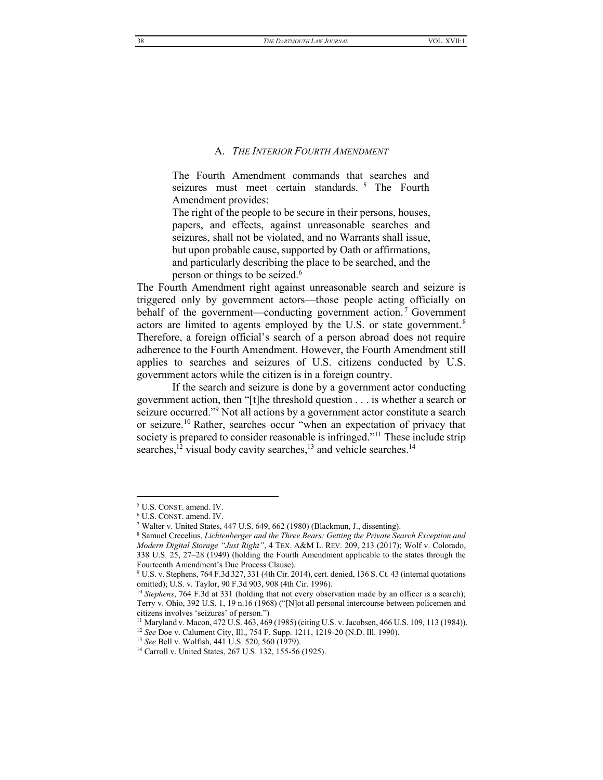# A. THE INTERIOR FOURTH AMENDMENT

<span id="page-4-0"></span>The Fourth Amendment commands that searches and seizures must meet certain standards.<sup>5</sup> The Fourth Amendment provides:

The right of the people to be secure in their persons, houses, papers, and effects, against unreasonable searches and seizures, shall not be violated, and no Warrants shall issue, but upon probable cause, supported by Oath or affirmations, and particularly describing the place to be searched, and the person or things to be seized.<sup>6</sup>

The Fourth Amendment right against unreasonable search and seizure is triggered only by government actors—those people acting officially on behalf of the government—conducting government action.<sup>7</sup> Government actors are limited to agents employed by the U.S. or state government.<sup>8</sup> Therefore, a foreign official's search of a person abroad does not require adherence to the Fourth Amendment. However, the Fourth Amendment still applies to searches and seizures of U.S. citizens conducted by U.S. government actors while the citizen is in a foreign country.

If the search and seizure is done by a government actor conducting government action, then "[t]he threshold question . . . is whether a search or seizure occurred."<sup>9</sup> Not all actions by a government actor constitute a search or seizure.<sup>10</sup> Rather, searches occur "when an expectation of privacy that society is prepared to consider reasonable is infringed."<sup>11</sup> These include strip searches,<sup>12</sup> visual body cavity searches,<sup>13</sup> and vehicle searches.<sup>14</sup>

<sup>&</sup>lt;sup>5</sup> U.S. CONST. amend. IV.

 $^6$  U.S. CONST. amend. IV.

<sup>&</sup>lt;sup>7</sup> Walter v. United States, 447 U.S. 649, 662 (1980) (Blackmun, J., dissenting).

<sup>&</sup>lt;sup>8</sup> Samuel Crecelius, Lichtenberger and the Three Bears: Getting the Private Search Exception and Modern Digital Storage "Just Right", 4 TEX. A&M L. REV. 209, 213 (2017); Wolf v. Colorado, 338 U.S. 25, 27-28 (1949) (holding the Fourth Amendment applicable to the states through the Fourteenth Amendment's Due Process Clause).

<sup>&</sup>lt;sup>9</sup> U.S. v. Stephens, 764 F.3d 327, 331 (4th Cir. 2014), cert. denied, 136 S. Ct. 43 (internal quotations omitted); U.S. v. Taylor, 90 F.3d 903, 908 (4th Cir. 1996).

 $10$  Stephens, 764 F.3d at 331 (holding that not every observation made by an officer is a search); Terry v. Ohio, 392 U.S. 1, 19 n.16 (1968) ("[N] ot all personal intercourse between policemen and citizens involves 'seizures' of person.")

<sup>&</sup>lt;sup>11</sup> Maryland v. Macon, 472 U.S. 463, 469 (1985) (citing U.S. v. Jacobsen, 466 U.S. 109, 113 (1984)). <sup>12</sup> See Doe v. Calument City, Ill., 754 F. Supp. 1211, 1219-20 (N.D. Ill. 1990).

<sup>&</sup>lt;sup>13</sup> See Bell v. Wolfish, 441 U.S. 520, 560 (1979).

<sup>&</sup>lt;sup>14</sup> Carroll v. United States, 267 U.S. 132, 155-56 (1925).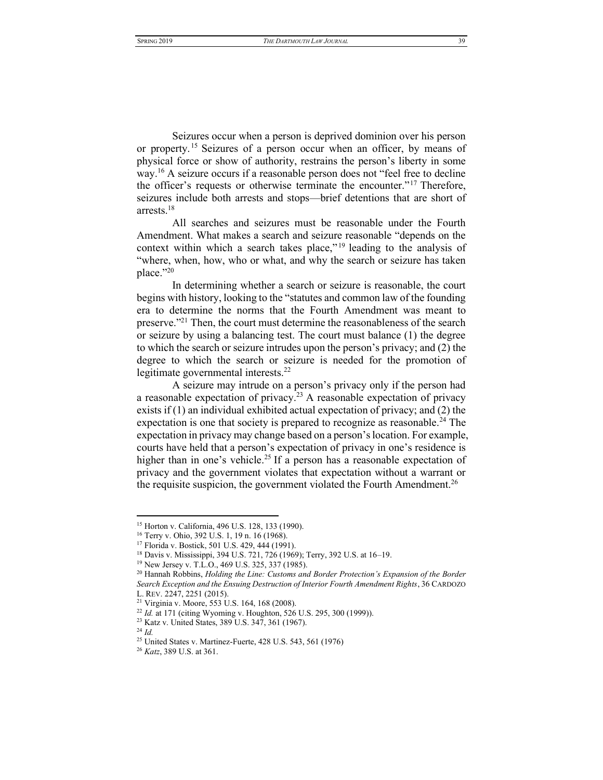Seizures occur when a person is deprived dominion over his person or property.<sup>15</sup> Seizures of a person occur when an officer, by means of physical force or show of authority, restrains the person's liberty in some way.<sup>16</sup> A seizure occurs if a reasonable person does not "feel free to decline" the officer's requests or otherwise terminate the encounter."<sup>17</sup> Therefore, seizures include both arrests and stops—brief detentions that are short of arrests. $18$ 

All searches and seizures must be reasonable under the Fourth Amendment. What makes a search and seizure reasonable "depends on the context within which a search takes place,"<sup>19</sup> leading to the analysis of "where, when, how, who or what, and why the search or seizure has taken place."20

In determining whether a search or seizure is reasonable, the court begins with history, looking to the "statutes and common law of the founding era to determine the norms that the Fourth Amendment was meant to preserve."<sup>21</sup> Then, the court must determine the reasonableness of the search or seizure by using a balancing test. The court must balance (1) the degree to which the search or seizure intrudes upon the person's privacy; and (2) the degree to which the search or seizure is needed for the promotion of legitimate governmental interests.<sup>22</sup>

A seizure may intrude on a person's privacy only if the person had a reasonable expectation of privacy.<sup>23</sup> A reasonable expectation of privacy exists if  $(1)$  an individual exhibited actual expectation of privacy; and  $(2)$  the expectation is one that society is prepared to recognize as reasonable.<sup>24</sup> The expectation in privacy may change based on a person's location. For example, courts have held that a person's expectation of privacy in one's residence is higher than in one's vehicle.<sup>25</sup> If a person has a reasonable expectation of privacy and the government violates that expectation without a warrant or the requisite suspicion, the government violated the Fourth Amendment.<sup>26</sup>

<sup>&</sup>lt;sup>15</sup> Horton v. California, 496 U.S. 128, 133 (1990).

<sup>&</sup>lt;sup>16</sup> Terry v. Ohio, 392 U.S. 1, 19 n. 16 (1968).

<sup>&</sup>lt;sup>17</sup> Florida v. Bostick, 501 U.S. 429, 444 (1991).

<sup>&</sup>lt;sup>18</sup> Davis v. Mississippi, 394 U.S. 721, 726 (1969); Terry, 392 U.S. at 16–19.

<sup>&</sup>lt;sup>19</sup> New Jersey v. T.L.O., 469 U.S. 325, 337 (1985).

<sup>&</sup>lt;sup>20</sup> Hannah Robbins, *Holding the Line: Customs and Border Protection's Expansion of the Border* Search Exception and the Ensuing Destruction of Interior Fourth Amendment Rights, 36 CARDOZO L. REV. 2247, 2251 (2015).

<sup>&</sup>lt;sup>21</sup> Virginia v. Moore, 553 U.S. 164, 168 (2008).

<sup>&</sup>lt;sup>22</sup> Id. at 171 (citing Wyoming v. Houghton, 526 U.S. 295, 300 (1999)).

<sup>&</sup>lt;sup>23</sup> Katz v. United States, 389 U.S. 347, 361 (1967).

 $24$  Id.

<sup>&</sup>lt;sup>25</sup> United States v. Martinez-Fuerte, 428 U.S. 543, 561 (1976)

<sup>&</sup>lt;sup>26</sup> Katz, 389 U.S. at 361.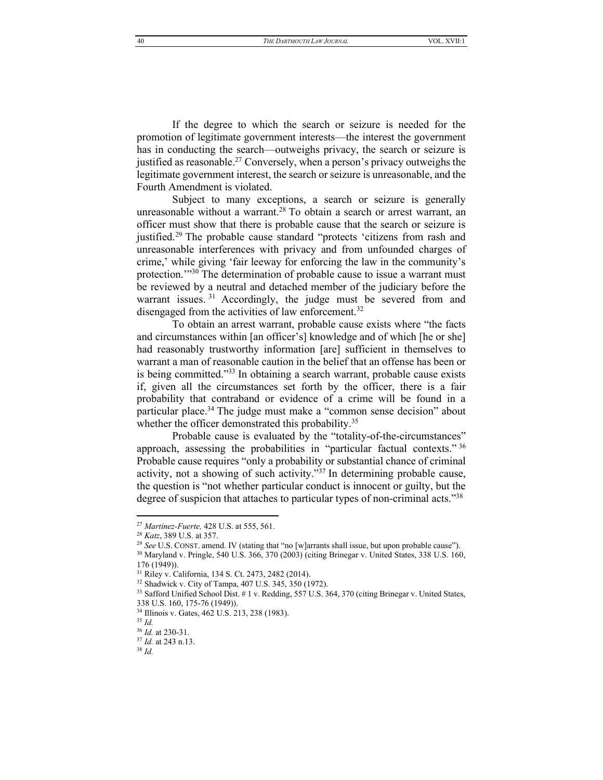THE DARTMOUTH LAW JOURNAL

If the degree to which the search or seizure is needed for the promotion of legitimate government interests—the interest the government has in conducting the search—outweighs privacy, the search or seizure is justified as reasonable.<sup>27</sup> Conversely, when a person's privacy outweighs the legitimate government interest, the search or seizure is unreasonable, and the Fourth Amendment is violated.

Subject to many exceptions, a search or seizure is generally unreasonable without a warrant.<sup>28</sup> To obtain a search or arrest warrant, an officer must show that there is probable cause that the search or seizure is justified.<sup>29</sup> The probable cause standard "protects 'citizens from rash and unreasonable interferences with privacy and from unfounded charges of crime,' while giving 'fair leeway for enforcing the law in the community's protection."<sup>30</sup> The determination of probable cause to issue a warrant must be reviewed by a neutral and detached member of the judiciary before the warrant issues.<sup>31</sup> Accordingly, the judge must be severed from and disengaged from the activities of law enforcement.<sup>32</sup>

To obtain an arrest warrant, probable cause exists where "the facts and circumstances within [an officer's] knowledge and of which [he or she] had reasonably trustworthy information [are] sufficient in themselves to warrant a man of reasonable caution in the belief that an offense has been or is being committed."33 In obtaining a search warrant, probable cause exists if, given all the circumstances set forth by the officer, there is a fair probability that contraband or evidence of a crime will be found in a particular place.<sup>34</sup> The judge must make a "common sense decision" about whether the officer demonstrated this probability.<sup>35</sup>

Probable cause is evaluated by the "totality-of-the-circumstances" approach, assessing the probabilities in "particular factual contexts." 36 Probable cause requires "only a probability or substantial chance of criminal activity, not a showing of such activity."<sup>37</sup> In determining probable cause, the question is "not whether particular conduct is innocent or guilty, but the degree of suspicion that attaches to particular types of non-criminal acts."38

<sup>&</sup>lt;sup>27</sup> Martinez-Fuerte, 428 U.S. at 555, 561.

<sup>&</sup>lt;sup>28</sup> Katz, 389 U.S. at 357.

<sup>&</sup>lt;sup>29</sup> See U.S. CONST. amend. IV (stating that "no [w]arrants shall issue, but upon probable cause").

 $30$  Maryland v. Pringle, 540 U.S.  $366$ ,  $370$  (2003) (citing Brinegar v. United States, 338 U.S. 160,  $176(1949)$ ).

<sup>&</sup>lt;sup>31</sup> Riley v. California, 134 S. Ct. 2473, 2482 (2014).

<sup>&</sup>lt;sup>32</sup> Shadwick v. City of Tampa, 407 U.S. 345, 350 (1972).

 $33$  Safford Unified School Dist. # 1 v. Redding, 557 U.S. 364, 370 (citing Brinegar v. United States, 338 U.S. 160, 175-76 (1949)).

<sup>&</sup>lt;sup>34</sup> Illinois v. Gates, 462 U.S. 213, 238 (1983).

 $35$  Id.

 $36$  *Id.* at 230-31.

 $37$  *Id.* at 243 n.13.

 $38$  Id.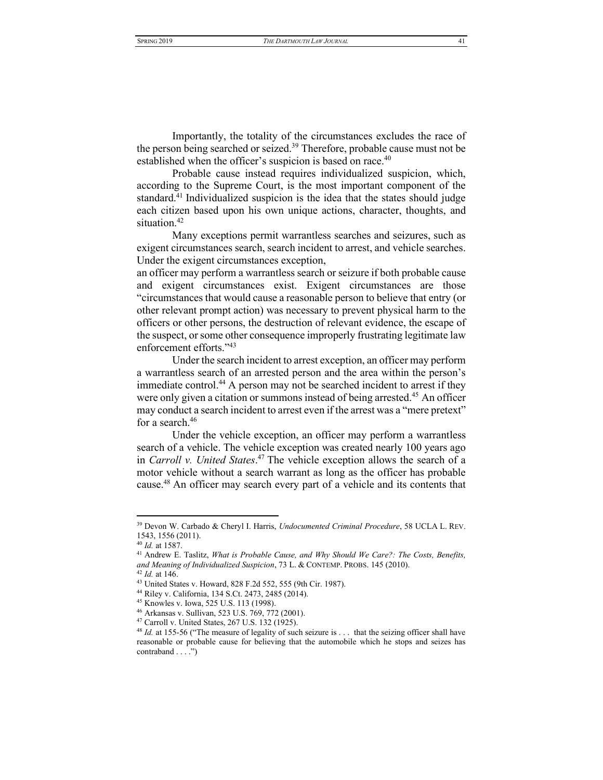<span id="page-7-0"></span>Importantly, the totality of the circumstances excludes the race of the person being searched or seized.<sup>39</sup> Therefore, probable cause must not be established when the officer's suspicion is based on race.<sup>40</sup>

Probable cause instead requires individualized suspicion, which, according to the Supreme Court, is the most important component of the standard.<sup>41</sup> Individualized suspicion is the idea that the states should judge each citizen based upon his own unique actions, character, thoughts, and situation.<sup>42</sup>

Many exceptions permit warrantless searches and seizures, such as exigent circumstances search, search incident to arrest, and vehicle searches. Under the exigent circumstances exception,

an officer may perform a warrantless search or seizure if both probable cause and exigent circumstances exist. Exigent circumstances are those "circumstances that would cause a reasonable person to believe that entry (or other relevant prompt action) was necessary to prevent physical harm to the officers or other persons, the destruction of relevant evidence, the escape of the suspect, or some other consequence improperly frustrating legitimate law enforcement efforts."43

Under the search incident to arrest exception, an officer may perform a warrantless search of an arrested person and the area within the person's immediate control.<sup>44</sup> A person may not be searched incident to arrest if they were only given a citation or summons instead of being arrested.<sup>45</sup> An officer may conduct a search incident to arrest even if the arrest was a "mere pretext" for a search.<sup>46</sup>

Under the vehicle exception, an officer may perform a warrantless search of a vehicle. The vehicle exception was created nearly 100 years ago in *Carroll v. United States*. <sup>47</sup> The vehicle exception allows the search of a motor vehicle without a search warrant as long as the officer has probable cause.48 An officer may search every part of a vehicle and its contents that

<sup>39</sup> Devon W. Carbado & Cheryl I. Harris, *Undocumented Criminal Procedure*, 58 UCLA L. REV. 1543, 1556 (2011).

<sup>40</sup> *Id.* at 1587.

<sup>41</sup> Andrew E. Taslitz, *What is Probable Cause, and Why Should We Care?: The Costs, Benefits, and Meaning of Individualized Suspicion*, 73 L. & CONTEMP. PROBS. 145 (2010). <sup>42</sup> *Id.* at 146.

<sup>43</sup> United States v. Howard, 828 F.2d 552, 555 (9th Cir. 1987).

<sup>44</sup> Riley v. California, 134 S.Ct. 2473, 2485 (2014).

<sup>45</sup> Knowles v. Iowa, 525 U.S. 113 (1998).

<sup>46</sup> Arkansas v. Sullivan, 523 U.S. 769, 772 (2001).

<sup>47</sup> Carroll v. United States, 267 U.S. 132 (1925).

<sup>&</sup>lt;sup>48</sup> *Id.* at 155-56 ("The measure of legality of such seizure is . . . that the seizing officer shall have reasonable or probable cause for believing that the automobile which he stops and seizes has contraband . . . .<sup>"</sup>)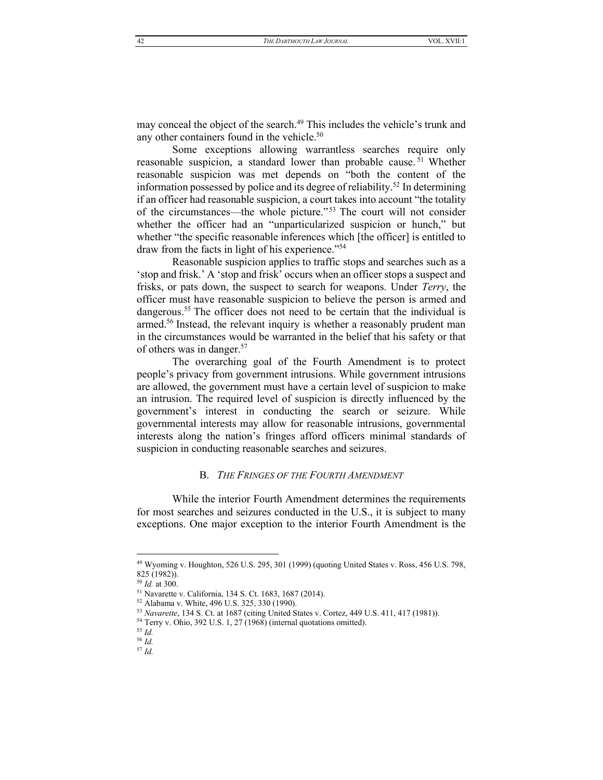may conceal the object of the search.<sup>49</sup> This includes the vehicle's trunk and any other containers found in the vehicle.<sup>50</sup>

Some exceptions allowing warrantless searches require only reasonable suspicion, a standard lower than probable cause.<sup>51</sup> Whether reasonable suspicion was met depends on "both the content of the information possessed by police and its degree of reliability.<sup>52</sup> In determining if an officer had reasonable suspicion, a court takes into account "the totality" of the circumstances—the whole picture."<sup>53</sup> The court will not consider whether the officer had an "unparticularized suspicion or hunch," but whether "the specific reasonable inferences which [the officer] is entitled to draw from the facts in light of his experience."54

Reasonable suspicion applies to traffic stops and searches such as a 'stop and frisk.' A 'stop and frisk' occurs when an officer stops a suspect and frisks, or pats down, the suspect to search for weapons. Under Terry, the officer must have reasonable suspicion to believe the person is armed and dangerous.<sup>55</sup> The officer does not need to be certain that the individual is armed.<sup>56</sup> Instead, the relevant inquiry is whether a reasonably prudent man in the circumstances would be warranted in the belief that his safety or that of others was in danger.<sup>57</sup>

The overarching goal of the Fourth Amendment is to protect people's privacy from government intrusions. While government intrusions are allowed, the government must have a certain level of suspicion to make an intrusion. The required level of suspicion is directly influenced by the government's interest in conducting the search or seizure. While governmental interests may allow for reasonable intrusions, governmental interests along the nation's fringes afford officers minimal standards of suspicion in conducting reasonable searches and seizures.

## **B.** THE FRINGES OF THE FOURTH AMENDMENT

<span id="page-8-0"></span>While the interior Fourth Amendment determines the requirements for most searches and seizures conducted in the U.S., it is subject to many exceptions. One major exception to the interior Fourth Amendment is the

<sup>&</sup>lt;sup>49</sup> Wyoming v. Houghton, 526 U.S. 295, 301 (1999) (quoting United States v. Ross, 456 U.S. 798, 825 (1982)).

 $^{50}$  *Id.* at 300.

<sup>&</sup>lt;sup>51</sup> Navarette v. California, 134 S. Ct. 1683, 1687 (2014).

<sup>&</sup>lt;sup>52</sup> Alabama v. White, 496 U.S. 325, 330 (1990).

<sup>&</sup>lt;sup>53</sup> Navarette, 134 S. Ct. at 1687 (citing United States v. Cortez, 449 U.S. 411, 417 (1981)).

<sup>&</sup>lt;sup>54</sup> Terry v. Ohio, 392 U.S. 1, 27 (1968) (internal quotations omitted).

 $55$  Id.

 $^{\rm 56}$   $Id.$ 

 $57$  Id.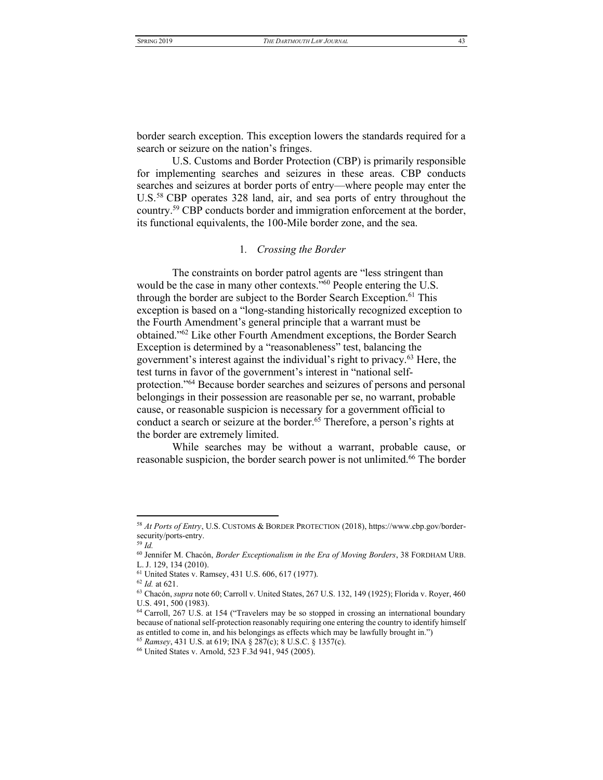border search exception. This exception lowers the standards required for a search or seizure on the nation's fringes.

<span id="page-9-1"></span>U.S. Customs and Border Protection (CBP) is primarily responsible for implementing searches and seizures in these areas. CBP conducts searches and seizures at border ports of entry—where people may enter the U.S.<sup>58</sup> CBP operates 328 land, air, and sea ports of entry throughout the country.59 CBP conducts border and immigration enforcement at the border, its functional equivalents, the 100-Mile border zone, and the sea.

# 1*. Crossing the Border*

<span id="page-9-0"></span>The constraints on border patrol agents are "less stringent than would be the case in many other contexts."<sup>60</sup> People entering the U.S. through the border are subject to the Border Search Exception.<sup>61</sup> This exception is based on a "long-standing historically recognized exception to the Fourth Amendment's general principle that a warrant must be obtained."<sup>62</sup> Like other Fourth Amendment exceptions, the Border Search Exception is determined by a "reasonableness" test, balancing the government's interest against the individual's right to privacy.<sup>63</sup> Here, the test turns in favor of the government's interest in "national selfprotection."<sup>64</sup> Because border searches and seizures of persons and personal belongings in their possession are reasonable per se, no warrant, probable cause, or reasonable suspicion is necessary for a government official to conduct a search or seizure at the border.<sup>65</sup> Therefore, a person's rights at the border are extremely limited.

While searches may be without a warrant, probable cause, or reasonable suspicion, the border search power is not unlimited.<sup>66</sup> The border

<sup>58</sup> *At Ports of Entry*, U.S. CUSTOMS & BORDER PROTECTION (2018), https://www.cbp.gov/bordersecurity/ports-entry.

<sup>59</sup> *Id.*

<sup>60</sup> Jennifer M. Chacón, *Border Exceptionalism in the Era of Moving Borders*, 38 FORDHAM URB. L. J. 129, 134 (2010).

<sup>61</sup> United States v. Ramsey, 431 U.S. 606, 617 (1977).

<sup>62</sup> *Id.* at 621.

<sup>63</sup> Chacón, *supra* note 60; Carroll v. United States, 267 U.S. 132, 149 (1925); Florida v. Royer, 460 U.S. 491, 500 (1983).

<sup>&</sup>lt;sup>64</sup> Carroll, 267 U.S. at 154 ("Travelers may be so stopped in crossing an international boundary because of national self-protection reasonably requiring one entering the country to identify himself as entitled to come in, and his belongings as effects which may be lawfully brought in.<sup>"</sup>)

<sup>65</sup> *Ramsey*, 431 U.S. at 619; INA § 287(c); 8 U.S.C. § 1357(c).

<sup>66</sup> United States v. Arnold, 523 F.3d 941, 945 (2005).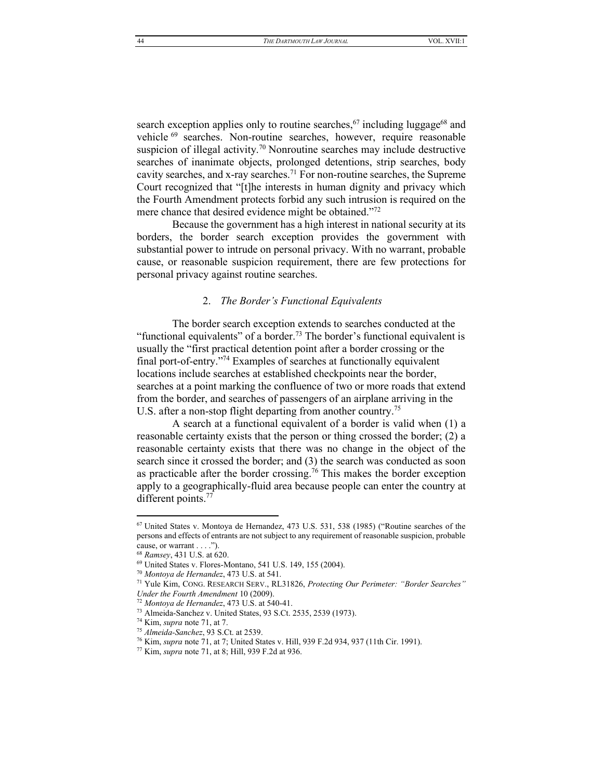search exception applies only to routine searches,<sup>67</sup> including luggage<sup>68</sup> and vehicle <sup>69</sup> searches. Non-routine searches, however, require reasonable suspicion of illegal activity.<sup>70</sup> Nonroutine searches may include destructive searches of inanimate objects, prolonged detentions, strip searches, body cavity searches, and x-ray searches.<sup>71</sup> For non-routine searches, the Supreme Court recognized that "[t]he interests in human dignity and privacy which the Fourth Amendment protects forbid any such intrusion is required on the mere chance that desired evidence might be obtained.<sup>772</sup>

Because the government has a high interest in national security at its borders, the border search exception provides the government with substantial power to intrude on personal privacy. With no warrant, probable cause, or reasonable suspicion requirement, there are few protections for personal privacy against routine searches.

# <span id="page-10-1"></span>2. *The Border's Functional Equivalents*

<span id="page-10-0"></span>The border search exception extends to searches conducted at the "functional equivalents" of a border.<sup>73</sup> The border's functional equivalent is usually the "first practical detention point after a border crossing or the final port-of-entry."<sup>74</sup> Examples of searches at functionally equivalent locations include searches at established checkpoints near the border, searches at a point marking the confluence of two or more roads that extend from the border, and searches of passengers of an airplane arriving in the U.S. after a non-stop flight departing from another country.<sup>75</sup>

A search at a functional equivalent of a border is valid when (1) a reasonable certainty exists that the person or thing crossed the border; (2) a reasonable certainty exists that there was no change in the object of the search since it crossed the border; and (3) the search was conducted as soon as practicable after the border crossing.<sup>76</sup> This makes the border exception apply to a geographically-fluid area because people can enter the country at different points.<sup>77</sup>

 $67$  United States v. Montoya de Hernandez, 473 U.S. 531, 538 (1985) ("Routine searches of the persons and effects of entrants are not subject to any requirement of reasonable suspicion, probable cause, or warrant  $\dots$ .  $'$ ).

<sup>68</sup> *Ramsey*, 431 U.S. at 620.

<sup>69</sup> United States v. Flores-Montano, 541 U.S. 149, 155 (2004).

<sup>70</sup> *Montoya de Hernandez*, 473 U.S. at 541.

<sup>71</sup> Yule Kim, CONG. RESEARCH SERV., RL31826, *Protecting Our Perimeter: "Border Searches" Under the Fourth Amendment* 10 (2009).

<sup>72</sup> *Montoya de Hernandez*, 473 U.S. at 540-41.

<sup>73</sup> Almeida-Sanchez v. United States, 93 S.Ct. 2535, 2539 (1973).

<sup>74</sup> Kim, *supra* not[e 71,](#page-10-1) at 7.

<sup>75</sup> *Almeida-Sanchez*, 93 S.Ct. at 2539.

<sup>76</sup> Kim, *supra* not[e 71,](#page-10-1) at 7; United States v. Hill, 939 F.2d 934, 937 (11th Cir. 1991).

<sup>77</sup> Kim, *supra* not[e 71,](#page-10-1) at 8; Hill, 939 F.2d at 936.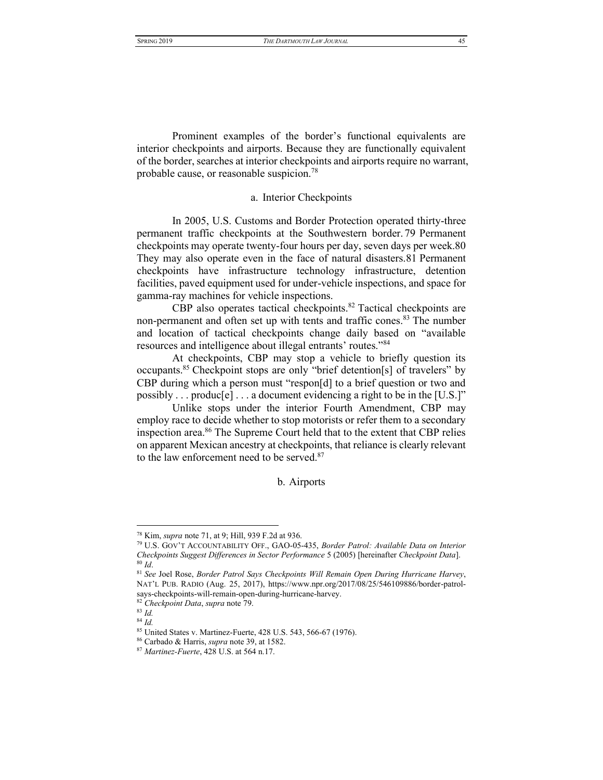Prominent examples of the border's functional equivalents are interior checkpoints and airports. Because they are functionally equivalent of the border, searches at interior checkpoints and airports require no warrant, probable cause, or reasonable suspicion.78

# <span id="page-11-2"></span>a. Interior Checkpoints

<span id="page-11-0"></span>In 2005, U.S. Customs and Border Protection operated thirty-three permanent traffic checkpoints at the Southwestern border. 79 Permanent checkpoints may operate twenty-four hours per day, seven days per week.80 They may also operate even in the face of natural disasters.81 Permanent checkpoints have infrastructure technology infrastructure, detention facilities, paved equipment used for under-vehicle inspections, and space for gamma-ray machines for vehicle inspections.

CBP also operates tactical checkpoints.<sup>82</sup> Tactical checkpoints are non-permanent and often set up with tents and traffic cones.<sup>83</sup> The number and location of tactical checkpoints change daily based on "available resources and intelligence about illegal entrants' routes."<sup>84</sup>

At checkpoints, CBP may stop a vehicle to briefly question its occupants.<sup>85</sup> Checkpoint stops are only "brief detention[s] of travelers" by CBP during which a person must "respon $[d]$  to a brief question or two and possibly . . . produc[e] . . . a document evidencing a right to be in the [U.S.]"

Unlike stops under the interior Fourth Amendment, CBP may employ race to decide whether to stop motorists or refer them to a secondary inspection area.86 The Supreme Court held that to the extent that CBP relies on apparent Mexican ancestry at checkpoints, that reliance is clearly relevant to the law enforcement need to be served. $87$ 

b. Airports

<span id="page-11-1"></span><sup>78</sup> Kim, *supra* not[e 71,](#page-10-1) at 9; Hill, 939 F.2d at 936.

<sup>&</sup>lt;sup>79</sup> U.S. GOV'T ACCOUNTABILITY OFF., GAO-05-435, *Border Patrol: Available Data on Interior Checkpoints Suggest Differences in Sector Performance* 5 (2005) [hereinafter *Checkpoint Data*]. <sup>80</sup> *Id*.

<sup>81</sup> *See* Joel Rose, *Border Patrol Says Checkpoints Will Remain Open During Hurricane Harvey*, NAT'L PUB. RADIO (Aug. 25, 2017), https://www.npr.org/2017/08/25/546109886/border-patrolsays-checkpoints-will-remain-open-during-hurricane-harvey.

<sup>82</sup> *Checkpoint Data*, *supra* note [79.](#page-11-2)

<sup>83</sup> *Id.*

<sup>84</sup> *Id.*

<sup>85</sup> United States v. Martinez-Fuerte, 428 U.S. 543, 566-67 (1976).

<sup>86</sup> Carbado & Harris, *supra* not[e 39,](#page-7-0) at 1582. 87 *Martinez-Fuerte*, 428 U.S. at 564 n.17.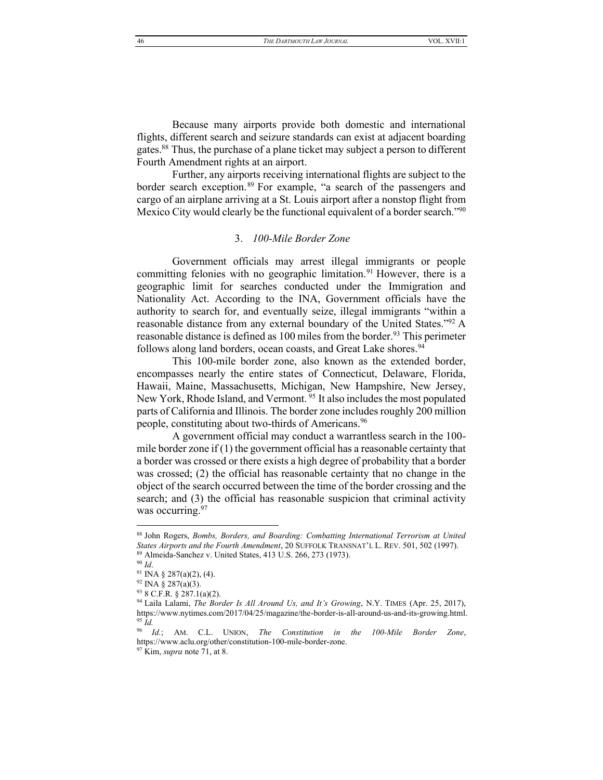Because many airports provide both domestic and international flights, different search and seizure standards can exist at adjacent boarding gates.88 Thus, the purchase of a plane ticket may subject a person to different Fourth Amendment rights at an airport.

Further, any airports receiving international flights are subject to the border search exception.<sup>89</sup> For example, "a search of the passengers and cargo of an airplane arriving at a St. Louis airport after a nonstop flight from Mexico City would clearly be the functional equivalent of a border search.<sup> $\cdot$ 90</sup>

# 3. *100-Mile Border Zone*

<span id="page-12-0"></span>Government officials may arrest illegal immigrants or people committing felonies with no geographic limitation.<sup>91</sup> However, there is a geographic limit for searches conducted under the Immigration and Nationality Act. According to the INA, Government officials have the authority to search for, and eventually seize, illegal immigrants "within a reasonable distance from any external boundary of the United States.<sup> $\frac{922}{8}$ </sup> A reasonable distance is defined as 100 miles from the border.<sup>93</sup> This perimeter follows along land borders, ocean coasts, and Great Lake shores.  $94$ 

This 100-mile border zone, also known as the extended border, encompasses nearly the entire states of Connecticut, Delaware, Florida, Hawaii, Maine, Massachusetts, Michigan, New Hampshire, New Jersey, New York, Rhode Island, and Vermont.<sup>95</sup> It also includes the most populated parts of California and Illinois. The border zone includes roughly 200 million people, constituting about two-thirds of Americans.<sup>96</sup>

A government official may conduct a warrantless search in the 100 mile border zone if (1) the government official has a reasonable certainty that a border was crossed or there exists a high degree of probability that a border was crossed; (2) the official has reasonable certainty that no change in the object of the search occurred between the time of the border crossing and the search; and (3) the official has reasonable suspicion that criminal activity was occurring.<sup>97</sup>

<sup>88</sup> John Rogers, *Bombs, Borders, and Boarding: Combatting International Terrorism at United States Airports and the Fourth Amendment*, 20 SUFFOLK TRANSNAT'L L. REV. 501, 502 (1997). <sup>89</sup> Almeida-Sanchez v. United States, 413 U.S. 266, 273 (1973).

<sup>90</sup> *Id*.

<sup>91</sup> INA § 287(a)(2), (4).

 $92$  INA  $\frac{8}{9}$  287(a)(3).

<sup>93</sup> 8 C.F.R. § 287.1(a)(2).

<sup>&</sup>lt;sup>94</sup> Laila Lalami, *The Border Is All Around Us, and It's Growing*, N.Y. TIMES (Apr. 25, 2017), https://www.nytimes.com/2017/04/25/magazine/the-border-is-all-around-us-and-its-growing.html. <sup>95</sup> *Id.*

<sup>96</sup> *Id.*; AM. C.L. UNION, *The Constitution in the 100-Mile Border Zone*, https://www.aclu.org/other/constitution-100-mile-border-zone. 97 Kim, *supra* not[e 71,](#page-10-1) at 8.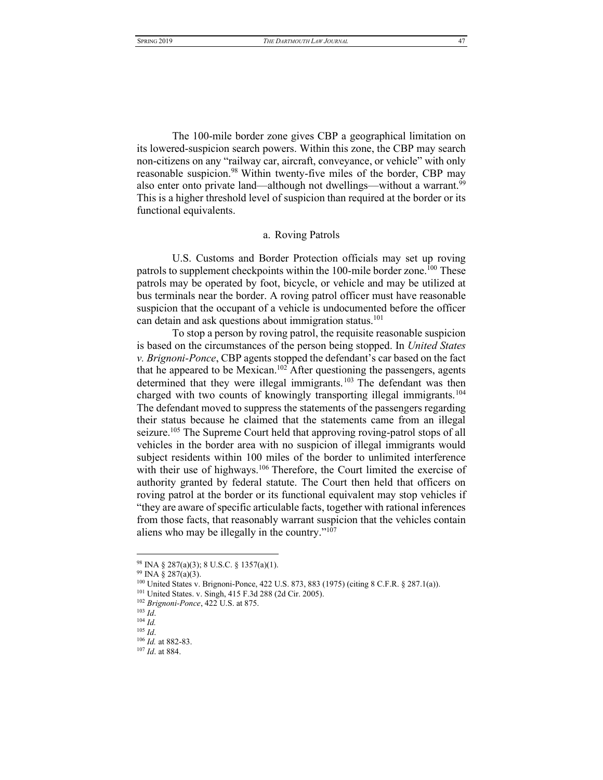The 100-mile border zone gives CBP a geographical limitation on its lowered-suspicion search powers. Within this zone, the CBP may search non-citizens on any "railway car, aircraft, conveyance, or vehicle" with only reasonable suspicion.<sup>98</sup> Within twenty-five miles of the border, CBP may also enter onto private land—although not dwellings—without a warrant.<sup>99</sup> This is a higher threshold level of suspicion than required at the border or its functional equivalents.

# a. Roving Patrols

<span id="page-13-0"></span>U.S. Customs and Border Protection officials may set up roving patrols to supplement checkpoints within the 100-mile border zone.<sup>100</sup> These patrols may be operated by foot, bicycle, or vehicle and may be utilized at bus terminals near the border. A roving patrol officer must have reasonable suspicion that the occupant of a vehicle is undocumented before the officer can detain and ask questions about immigration status.<sup>101</sup>

To stop a person by roving patrol, the requisite reasonable suspicion is based on the circumstances of the person being stopped. In *United States v. Brignoni-Ponce*, CBP agents stopped the defendant's car based on the fact that he appeared to be Mexican.<sup>102</sup> After questioning the passengers, agents determined that they were illegal immigrants.<sup>103</sup> The defendant was then charged with two counts of knowingly transporting illegal immigrants.<sup>104</sup> The defendant moved to suppress the statements of the passengers regarding their status because he claimed that the statements came from an illegal seizure.<sup>105</sup> The Supreme Court held that approving roving-patrol stops of all vehicles in the border area with no suspicion of illegal immigrants would subject residents within 100 miles of the border to unlimited interference with their use of highways.<sup>106</sup> Therefore, the Court limited the exercise of authority granted by federal statute. The Court then held that officers on roving patrol at the border or its functional equivalent may stop vehicles if "they are aware of specific articulable facts, together with rational inferences from those facts, that reasonably warrant suspicion that the vehicles contain aliens who may be illegally in the country." $107$ 

<sup>98</sup> INA § 287(a)(3); 8 U.S.C. § 1357(a)(1).

<sup>99</sup> INA § 287(a)(3).

<sup>100</sup> United States v. Brignoni-Ponce, 422 U.S. 873, 883 (1975) (citing 8 C.F.R. § 287.1(a)).

<sup>101</sup> United States. v. Singh, 415 F.3d 288 (2d Cir. 2005).

<sup>102</sup> *Brignoni-Ponce*, 422 U.S. at 875.

<sup>103</sup> *Id*.

<sup>104</sup> *Id.*

<sup>105</sup> *Id*.

<sup>106</sup> *Id.* at 882-83.

<sup>107</sup> *Id*. at 884.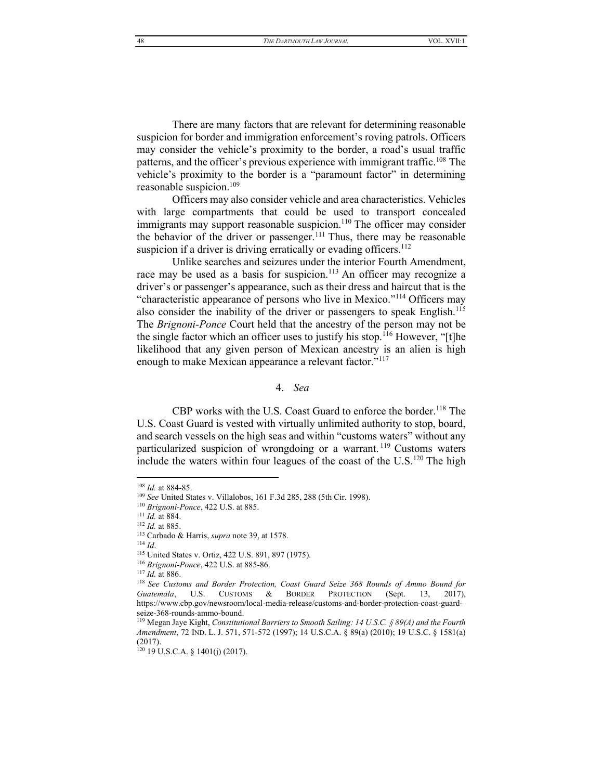48 *THE DARTMOUTH LAW JOURNAL* VOL. XVII:1

There are many factors that are relevant for determining reasonable suspicion for border and immigration enforcement's roving patrols. Officers may consider the vehicle's proximity to the border, a road's usual traffic patterns, and the officer's previous experience with immigrant traffic.<sup>108</sup> The vehicle's proximity to the border is a "paramount factor" in determining reasonable suspicion.109

Officers may also consider vehicle and area characteristics. Vehicles with large compartments that could be used to transport concealed immigrants may support reasonable suspicion.<sup>110</sup> The officer may consider the behavior of the driver or passenger.<sup>111</sup> Thus, there may be reasonable suspicion if a driver is driving erratically or evading officers.<sup>112</sup>

Unlike searches and seizures under the interior Fourth Amendment, race may be used as a basis for suspicion.<sup>113</sup> An officer may recognize a driver's or passenger's appearance, such as their dress and haircut that is the "characteristic appearance of persons who live in Mexico."<sup>114</sup> Officers may also consider the inability of the driver or passengers to speak English.<sup>115</sup> The *Brignoni-Ponce* Court held that the ancestry of the person may not be the single factor which an officer uses to justify his stop.<sup>116</sup> However, "[t]he likelihood that any given person of Mexican ancestry is an alien is high enough to make Mexican appearance a relevant factor.<sup>"117</sup>

#### 4. *Sea*

<span id="page-14-0"></span>CBP works with the U.S. Coast Guard to enforce the border.<sup>118</sup> The U.S. Coast Guard is vested with virtually unlimited authority to stop, board, and search vessels on the high seas and within "customs waters" without any particularized suspicion of wrongdoing or a warrant.<sup>119</sup> Customs waters include the waters within four leagues of the coast of the  $U.S.<sup>120</sup>$  The high

<sup>108</sup> *Id.* at 884-85.

<sup>109</sup> *See* United States v. Villalobos, 161 F.3d 285, 288 (5th Cir. 1998).

<sup>110</sup> *Brignoni-Ponce*, 422 U.S. at 885.

<sup>111</sup> *Id.* at 884.

<sup>112</sup> *Id.* at 885.

<sup>113</sup> Carbado & Harris, *supra* not[e 39,](#page-7-0) at 1578. <sup>114</sup> *Id*.

<sup>115</sup> United States v. Ortiz, 422 U.S. 891, 897 (1975).

<sup>116</sup> *Brignoni-Ponce*, 422 U.S. at 885-86.

<sup>117</sup> *Id.* at 886.

<sup>118</sup> *See Customs and Border Protection, Coast Guard Seize 368 Rounds of Ammo Bound for Guatemala*, U.S. CUSTOMS & BORDER PROTECTION (Sept. 13, 2017), https://www.cbp.gov/newsroom/local-media-release/customs-and-border-protection-coast-guardseize-368-rounds-ammo-bound.

<sup>119</sup> Megan Jaye Kight, *Constitutional Barriers to Smooth Sailing: 14 U.S.C. § 89(A) and the Fourth Amendment*, 72 IND. L. J. 571, 571-572 (1997); 14 U.S.C.A. § 89(a) (2010); 19 U.S.C. § 1581(a) (2017).

<sup>120</sup> 19 U.S.C.A. § 1401(j) (2017).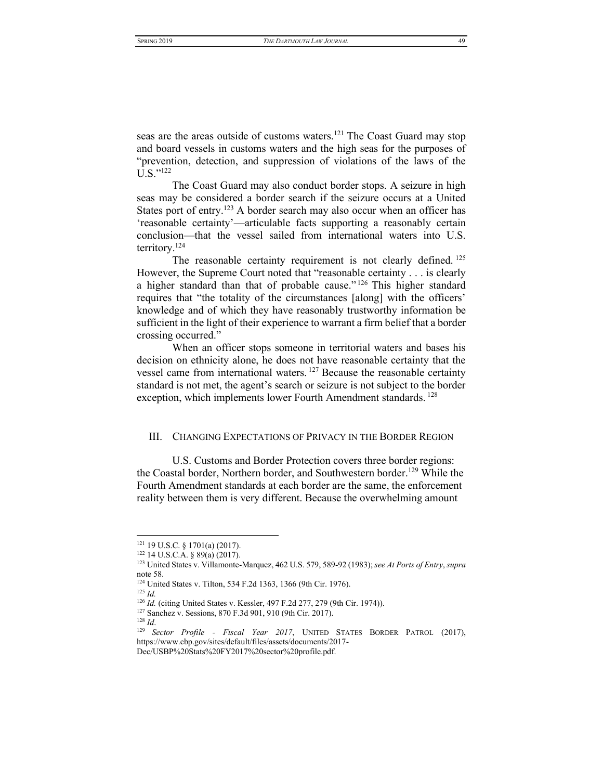seas are the areas outside of customs waters.<sup>121</sup> The Coast Guard may stop and board vessels in customs waters and the high seas for the purposes of "prevention, detection, and suppression of violations of the laws of the  $U.S.^{"122}$ 

The Coast Guard may also conduct border stops. A seizure in high seas may be considered a border search if the seizure occurs at a United States port of entry.<sup>123</sup> A border search may also occur when an officer has 'reasonable certainty'—articulable facts supporting a reasonably certain conclusion—that the vessel sailed from international waters into U.S. territory.124

The reasonable certainty requirement is not clearly defined. <sup>125</sup> However, the Supreme Court noted that "reasonable certainty  $\ldots$  is clearly a higher standard than that of probable cause.<sup> $n^{126}$ </sup> This higher standard requires that "the totality of the circumstances [along] with the officers' knowledge and of which they have reasonably trustworthy information be sufficient in the light of their experience to warrant a firm belief that a border crossing occurred."

When an officer stops someone in territorial waters and bases his decision on ethnicity alone, he does not have reasonable certainty that the vessel came from international waters. <sup>127</sup> Because the reasonable certainty standard is not met, the agent's search or seizure is not subject to the border exception, which implements lower Fourth Amendment standards.<sup>128</sup>

#### <span id="page-15-0"></span>III. CHANGING EXPECTATIONS OF PRIVACY IN THE BORDER REGION

U.S. Customs and Border Protection covers three border regions: the Coastal border, Northern border, and Southwestern border.<sup>129</sup> While the Fourth Amendment standards at each border are the same, the enforcement reality between them is very different. Because the overwhelming amount

<sup>121</sup> 19 U.S.C. § 1701(a) (2017).

 $122$  14 U.S.C.A. § 89(a) (2017).

<sup>123</sup> United States v. Villamonte-Marquez, 462 U.S. 579, 589-92 (1983); *see At Ports of Entry*, *supra*  not[e 58.](#page-9-1)

<sup>124</sup> United States v. Tilton, 534 F.2d 1363, 1366 (9th Cir. 1976).

<sup>125</sup> *Id.*

<sup>126</sup> *Id.* (citing United States v. Kessler, 497 F.2d 277, 279 (9th Cir. 1974)).

<sup>127</sup> Sanchez v. Sessions, 870 F.3d 901, 910 (9th Cir. 2017).

<sup>128</sup> *Id*.

<sup>129</sup> *Sector Profile - Fiscal Year 2017*, UNITED STATES BORDER PATROL (2017), https://www.cbp.gov/sites/default/files/assets/documents/2017-

Dec/USBP%20Stats%20FY2017%20sector%20profile.pdf.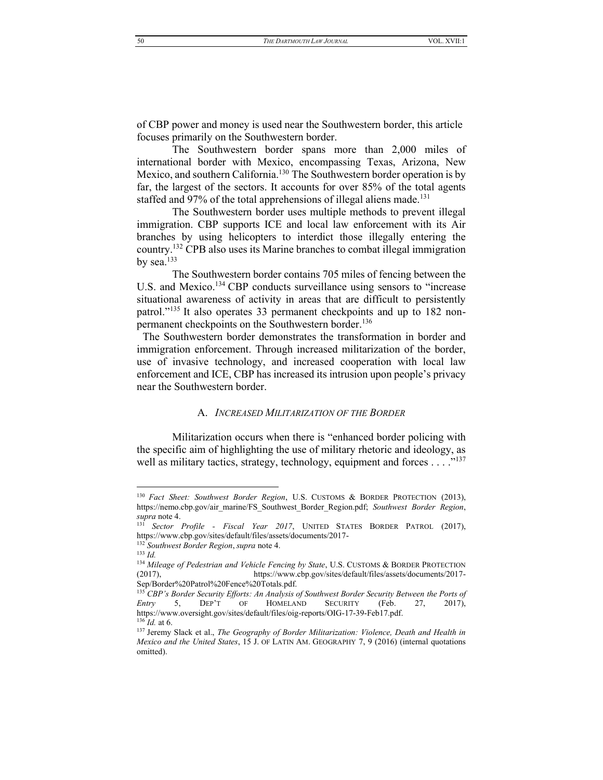of CBP power and money is used near the Southwestern border, this article focuses primarily on the Southwestern border.

The Southwestern border spans more than 2,000 miles of international border with Mexico, encompassing Texas, Arizona, New Mexico, and southern California.<sup>130</sup> The Southwestern border operation is by far, the largest of the sectors. It accounts for over 85% of the total agents staffed and 97% of the total apprehensions of illegal aliens made.<sup>131</sup>

The Southwestern border uses multiple methods to prevent illegal immigration. CBP supports ICE and local law enforcement with its Air branches by using helicopters to interdict those illegally entering the country.<sup>132</sup> CPB also uses its Marine branches to combat illegal immigration by sea. $133$ 

The Southwestern border contains 705 miles of fencing between the U.S. and Mexico.<sup>134</sup> CBP conducts surveillance using sensors to "increase" situational awareness of activity in areas that are difficult to persistently patrol."<sup>135</sup> It also operates 33 permanent checkpoints and up to 182 nonpermanent checkpoints on the Southwestern border.<sup>136</sup>

The Southwestern border demonstrates the transformation in border and immigration enforcement. Through increased militarization of the border, use of invasive technology, and increased cooperation with local law enforcement and ICE, CBP has increased its intrusion upon people's privacy near the Southwestern border.

## <span id="page-16-1"></span>A. INCREASED MILITARIZATION OF THE BORDER

<span id="page-16-0"></span>Militarization occurs when there is "enhanced border policing with the specific aim of highlighting the use of military rhetoric and ideology, as well as military tactics, strategy, technology, equipment and forces . . . . "<sup>137</sup>

50

<sup>&</sup>lt;sup>130</sup> Fact Sheet: Southwest Border Region, U.S. CUSTOMS & BORDER PROTECTION (2013), https://nemo.cbp.gov/air marine/FS Southwest Border Region.pdf; Southwest Border Region, supra note 4.

<sup>&</sup>lt;sup>131</sup> Sector Profile - Fiscal Year 2017, UNITED STATES BORDER PATROL (2017), https://www.cbp.gov/sites/default/files/assets/documents/2017-

<sup>&</sup>lt;sup>132</sup> Southwest Border Region, supra note 4.

 $133 \, Id.$ 

<sup>&</sup>lt;sup>134</sup> Mileage of Pedestrian and Vehicle Fencing by State, U.S. CUSTOMS & BORDER PROTECTION  $(2017),$ https://www.cbp.gov/sites/default/files/assets/documents/2017-Sep/Border%20Patrol%20Fence%20Totals.pdf.

<sup>&</sup>lt;sup>135</sup> CBP's Border Security Efforts: An Analysis of Southwest Border Security Between the Ports of 5, Entry DEP'T  $\rm OF$ **HOMELAND SECURITY** (Feb. 27.  $2017$ ). https://www.oversight.gov/sites/default/files/oig-reports/OIG-17-39-Feb17.pdf.  $136$  *Id.* at 6.

<sup>&</sup>lt;sup>137</sup> Jeremy Slack et al., *The Geography of Border Militarization: Violence, Death and Health in* Mexico and the United States, 15 J. OF LATIN AM. GEOGRAPHY 7, 9 (2016) (internal quotations omitted).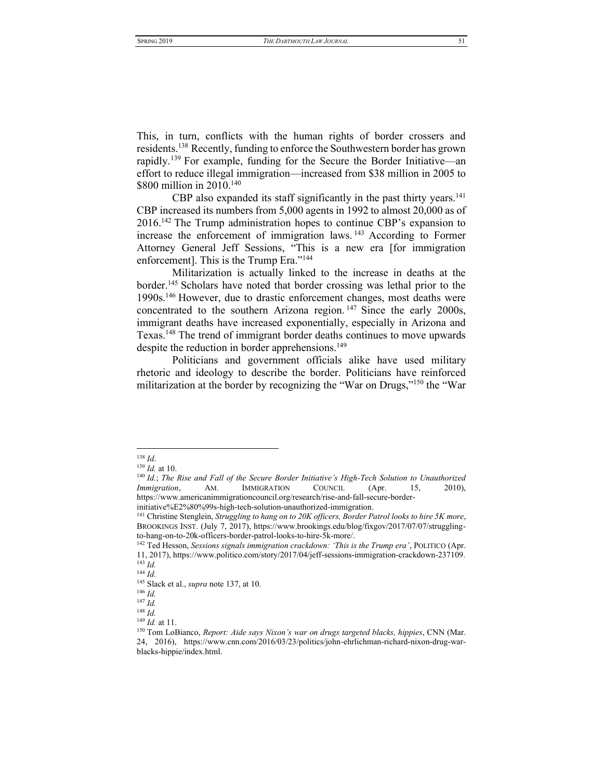This, in turn, conflicts with the human rights of border crossers and residents.138 Recently, funding to enforce the Southwestern border has grown rapidly.<sup>139</sup> For example, funding for the Secure the Border Initiative—an effort to reduce illegal immigration—increased from \$38 million in 2005 to \$800 million in 2010.<sup>140</sup>

CBP also expanded its staff significantly in the past thirty years.<sup>141</sup> CBP increased its numbers from 5,000 agents in 1992 to almost 20,000 as of  $2016<sup>142</sup>$  The Trump administration hopes to continue CBP's expansion to increase the enforcement of immigration laws. <sup>143</sup> According to Former Attorney General Jeff Sessions, "This is a new era [for immigration enforcement]. This is the Trump Era."<sup>144</sup>

Militarization is actually linked to the increase in deaths at the border.145 Scholars have noted that border crossing was lethal prior to the 1990s.146 However, due to drastic enforcement changes, most deaths were concentrated to the southern Arizona region.  $147$  Since the early 2000s, immigrant deaths have increased exponentially, especially in Arizona and Texas.148 The trend of immigrant border deaths continues to move upwards despite the reduction in border apprehensions.<sup>149</sup>

Politicians and government officials alike have used military rhetoric and ideology to describe the border. Politicians have reinforced militarization at the border by recognizing the "War on Drugs,"<sup>150</sup> the "War

<sup>138</sup> *Id*.

<sup>139</sup> *Id.* at 10.

<sup>&</sup>lt;sup>140</sup> Id.; The Rise and Fall of the Secure Border Initiative's High-Tech Solution to Unauthorized *Immigration*, AM. IMMIGRATION COUNCIL (Apr. 15, 2010), https://www.americanimmigrationcouncil.org/research/rise-and-fall-secure-border-

initiative%E2%80%99s-high-tech-solution-unauthorized-immigration.

<sup>141</sup> Christine Stenglein, *Struggling to hang on to 20K officers, Border Patrol looks to hire 5K more*, BROOKINGS INST. (July 7, 2017), https://www.brookings.edu/blog/fixgov/2017/07/07/strugglingto-hang-on-to-20k-officers-border-patrol-looks-to-hire-5k-more/.

<sup>&</sup>lt;sup>142</sup> Ted Hesson, *Sessions signals immigration crackdown: 'This is the Trump era'*, POLITICO (Apr. 11, 2017), https://www.politico.com/story/2017/04/jeff-sessions-immigration-crackdown-237109. <sup>143</sup> *Id.*

<sup>144</sup> *Id.*

<sup>145</sup> Slack et al., *supra* not[e 137,](#page-16-1) at 10.

<sup>146</sup> *Id.* 

<sup>147</sup> *Id.*

<sup>148</sup> *Id.* <sup>149</sup> *Id.* at 11.

<sup>&</sup>lt;sup>150</sup> Tom LoBianco, *Report: Aide says Nixon's war on drugs targeted blacks, hippies*, CNN (Mar. 24, 2016), https://www.cnn.com/2016/03/23/politics/john-ehrlichman-richard-nixon-drug-warblacks-hippie/index.html.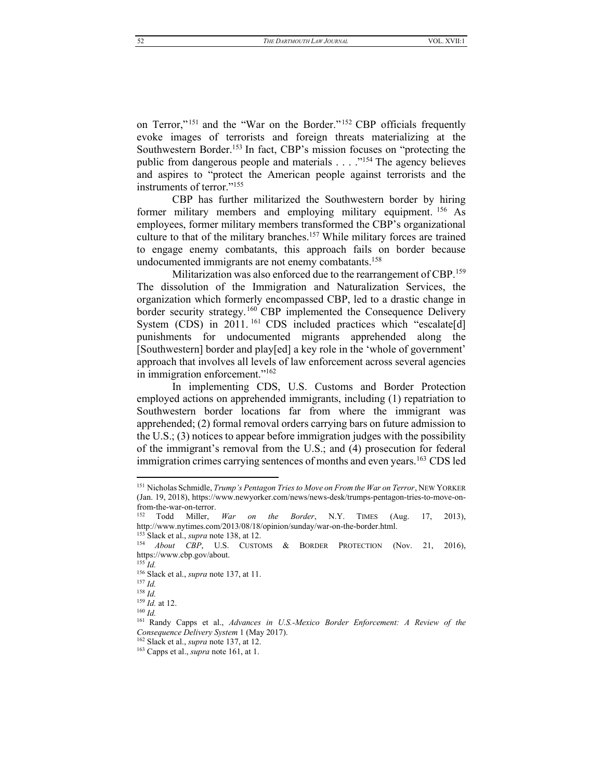on Terror,"<sup>151</sup> and the "War on the Border."<sup>152</sup> CBP officials frequently evoke images of terrorists and foreign threats materializing at the Southwestern Border.<sup>153</sup> In fact, CBP's mission focuses on "protecting the public from dangerous people and materials . . . . "<sup>154</sup> The agency believes and aspires to "protect the American people against terrorists and the instruments of terror."<sup>155</sup>

CBP has further militarized the Southwestern border by hiring former military members and employing military equipment.<sup>156</sup> As employees, former military members transformed the CBP's organizational culture to that of the military branches.<sup>157</sup> While military forces are trained to engage enemy combatants, this approach fails on border because undocumented immigrants are not enemy combatants.<sup>158</sup>

Militarization was also enforced due to the rearrangement of CBP.<sup>159</sup> The dissolution of the Immigration and Naturalization Services, the organization which formerly encompassed CBP, led to a drastic change in border security strategy.<sup>160</sup> CBP implemented the Consequence Delivery System (CDS) in 2011.<sup>161</sup> CDS included practices which "escalate[d] punishments for undocumented migrants apprehended along the [Southwestern] border and play[ed] a key role in the 'whole of government' approach that involves all levels of law enforcement across several agencies in immigration enforcement."<sup>162</sup>

In implementing CDS, U.S. Customs and Border Protection employed actions on apprehended immigrants, including (1) repatriation to Southwestern border locations far from where the immigrant was apprehended; (2) formal removal orders carrying bars on future admission to the U.S.; (3) notices to appear before immigration judges with the possibility of the immigrant's removal from the U.S.; and (4) prosecution for federal immigration crimes carrying sentences of months and even years.<sup>163</sup> CDS led

 $^{160}\,Id.$ 

<sup>151</sup> Nicholas Schmidle, Trump's Pentagon Tries to Move on From the War on Terror, NEW YORKER (Jan. 19, 2018), https://www.newyorker.com/news/news-desk/trumps-pentagon-tries-to-move-onfrom-the-war-on-terror.

<sup>&</sup>lt;sup>152</sup> Todd Miller, *War on the Border*, N.Y. TIMES (Aug.  $17, 2013$ , http://www.nytimes.com/2013/08/18/opinion/sunday/war-on-the-border.html.

<sup>&</sup>lt;sup>153</sup> Slack et al., *supra* note 138, at 12. <sup>154</sup> About CBP, U.S. CUSTOMS & BORDER PROTECTION (Nov. 21, 2016),

https://www.cbp.gov/about.

 $^{155}$   $\overline{Id}$ .

 $156$  Slack et al., *supra* note 137, at 11.

 $157$  *Id* 

 $158$  *Id.* 

 $159$  *Id.* at 12.

<sup>&</sup>lt;sup>161</sup> Randy Capps et al., Advances in U.S.-Mexico Border Enforcement: A Review of the Consequence Delivery System 1 (May 2017).

 $162$  Slack et al., *supra* note 137, at 12.

<sup>&</sup>lt;sup>163</sup> Capps et al., *supra* note 161, at 1.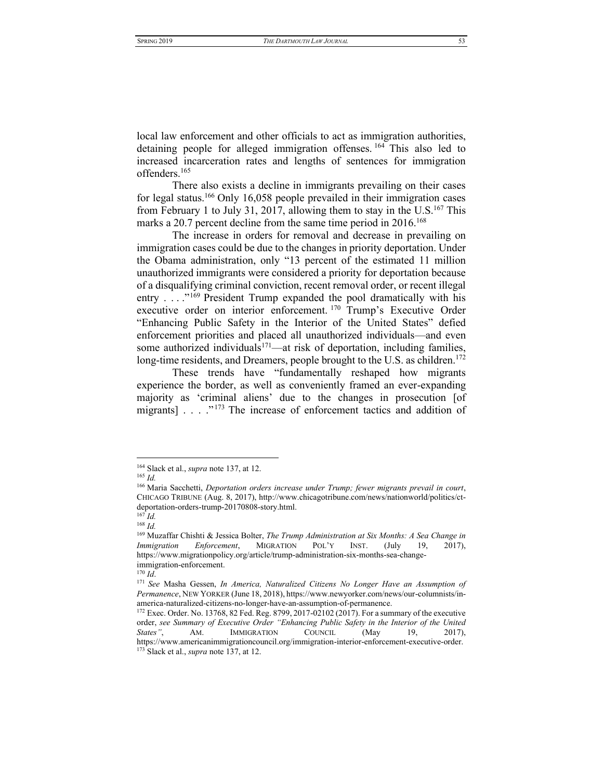local law enforcement and other officials to act as immigration authorities, detaining people for alleged immigration offenses. <sup>164</sup> This also led to increased incarceration rates and lengths of sentences for immigration offenders.165

There also exists a decline in immigrants prevailing on their cases for legal status.<sup>166</sup> Only 16,058 people prevailed in their immigration cases from February 1 to July 31, 2017, allowing them to stay in the U.S.<sup>167</sup> This marks a 20.7 percent decline from the same time period in  $2016$ .<sup>168</sup>

The increase in orders for removal and decrease in prevailing on immigration cases could be due to the changes in priority deportation. Under the Obama administration, only "13 percent of the estimated 11 million unauthorized immigrants were considered a priority for deportation because of a disqualifying criminal conviction, recent removal order, or recent illegal entry . . . .<sup>"169</sup> President Trump expanded the pool dramatically with his executive order on interior enforcement. <sup>170</sup> Trump's Executive Order "Enhancing Public Safety in the Interior of the United States" defied enforcement priorities and placed all unauthorized individuals—and even some authorized individuals<sup>171</sup>—at risk of deportation, including families, long-time residents, and Dreamers, people brought to the U.S. as children.<sup>172</sup>

These trends have "fundamentally reshaped how migrants experience the border, as well as conveniently framed an ever-expanding majority as 'criminal aliens' due to the changes in prosecution [of migrants]  $\ldots$  . <sup>"173</sup> The increase of enforcement tactics and addition of

<sup>164</sup> Slack et al., *supra* not[e 137,](#page-16-1) at 12.

<sup>165</sup> *Id.*

<sup>166</sup> Maria Sacchetti, *Deportation orders increase under Trump; fewer migrants prevail in court*, CHICAGO TRIBUNE (Aug. 8, 2017), http://www.chicagotribune.com/news/nationworld/politics/ctdeportation-orders-trump-20170808-story.html.

<sup>167</sup> *Id.*

<sup>168</sup> *Id.*

<sup>169</sup> Muzaffar Chishti & Jessica Bolter, *The Trump Administration at Six Months: A Sea Change in Immigration Enforcement*, MIGRATION POL'Y INST. (July 19, 2017), https://www.migrationpolicy.org/article/trump-administration-six-months-sea-changeimmigration-enforcement.

<sup>170</sup> *Id*.

<sup>171</sup> *See* Masha Gessen, *In America, Naturalized Citizens No Longer Have an Assumption of Permanence*, NEW YORKER (June 18, 2018), https://www.newyorker.com/news/our-columnists/inamerica-naturalized-citizens-no-longer-have-an-assumption-of-permanence.

<sup>172</sup> Exec. Order. No. 13768, 82 Fed. Reg. 8799, 2017-02102 (2017). For a summary of the executive order, *see Summary of Executive Order "Enhancing Public Safety in the Interior of the United States"*, AM. IMMIGRATION COUNCIL (May 19, 2017), https://www.americanimmigrationcouncil.org/immigration-interior-enforcement-executive-order. <sup>173</sup> Slack et al., *supra* not[e 137,](#page-16-1) at 12.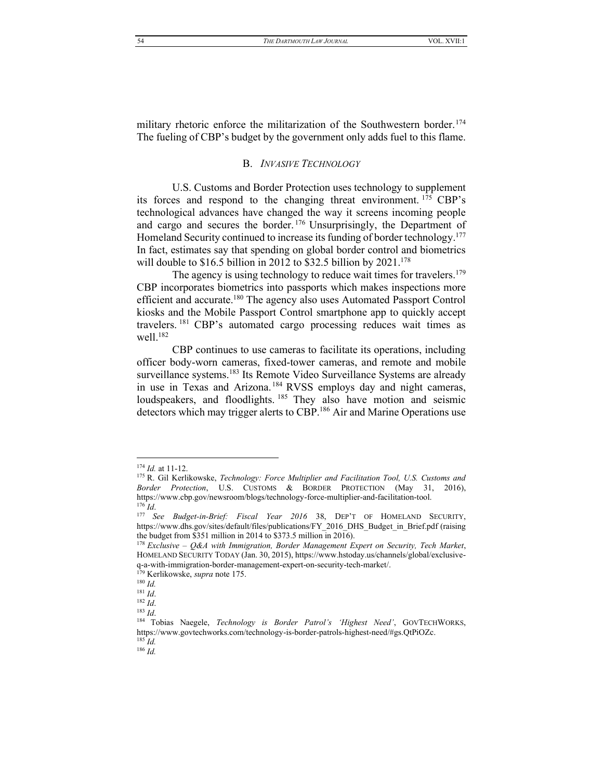<span id="page-20-0"></span>military rhetoric enforce the militarization of the Southwestern border.<sup>174</sup> The fueling of CBP's budget by the government only adds fuel to this flame.

# <span id="page-20-1"></span>B. *INVASIVE TECHNOLOGY*

U.S. Customs and Border Protection uses technology to supplement its forces and respond to the changing threat environment.  $175$  CBP's technological advances have changed the way it screens incoming people and cargo and secures the border. <sup>176</sup> Unsurprisingly, the Department of Homeland Security continued to increase its funding of border technology.<sup>177</sup> In fact, estimates say that spending on global border control and biometrics will double to \$16.5 billion in 2012 to \$32.5 billion by  $2021$ .<sup>178</sup>

The agency is using technology to reduce wait times for travelers.<sup>179</sup> CBP incorporates biometrics into passports which makes inspections more efficient and accurate.<sup>180</sup> The agency also uses Automated Passport Control kiosks and the Mobile Passport Control smartphone app to quickly accept travelers. <sup>181</sup> CBP's automated cargo processing reduces wait times as well.<sup>182</sup>

CBP continues to use cameras to facilitate its operations, including officer body-worn cameras, fixed-tower cameras, and remote and mobile surveillance systems.<sup>183</sup> Its Remote Video Surveillance Systems are already in use in Texas and Arizona. <sup>184</sup> RVSS employs day and night cameras, loudspeakers, and floodlights. <sup>185</sup> They also have motion and seismic detectors which may trigger alerts to CBP.<sup>186</sup> Air and Marine Operations use

<sup>174</sup> *Id.* at 11-12.

<sup>175</sup> R. Gil Kerlikowske, *Technology: Force Multiplier and Facilitation Tool, U.S. Customs and Border Protection*, U.S. CUSTOMS & BORDER PROTECTION (May 31, 2016), https://www.cbp.gov/newsroom/blogs/technology-force-multiplier-and-facilitation-tool. <sup>176</sup> *Id*.

<sup>&</sup>lt;sup>177</sup> See Budget-in-Brief: Fiscal Year 2016 38, DEP'T OF HOMELAND SECURITY, https://www.dhs.gov/sites/default/files/publications/FY\_2016\_DHS\_Budget\_in\_Brief.pdf (raising the budget from \$351 million in 2014 to \$373.5 million in 2016).

<sup>178</sup> *Exclusive – Q&A with Immigration, Border Management Expert on Security, Tech Market*, HOMELAND SECURITY TODAY (Jan. 30, 2015), https://www.hstoday.us/channels/global/exclusiveq-a-with-immigration-border-management-expert-on-security-tech-market/.

<sup>179</sup> Kerlikowske, *supra* not[e 175.](#page-20-1)

<sup>180</sup> *Id.*

<sup>181</sup> *Id*.

<sup>182</sup> *Id*. <sup>183</sup> *Id*.

<sup>&</sup>lt;sup>184</sup> Tobias Naegele, *Technology is Border Patrol's 'Highest Need'*, GOVTECHWORKS, https://www.govtechworks.com/technology-is-border-patrols-highest-need/#gs.QtPiOZc. <sup>185</sup> *Id.*

<sup>186</sup> *Id.*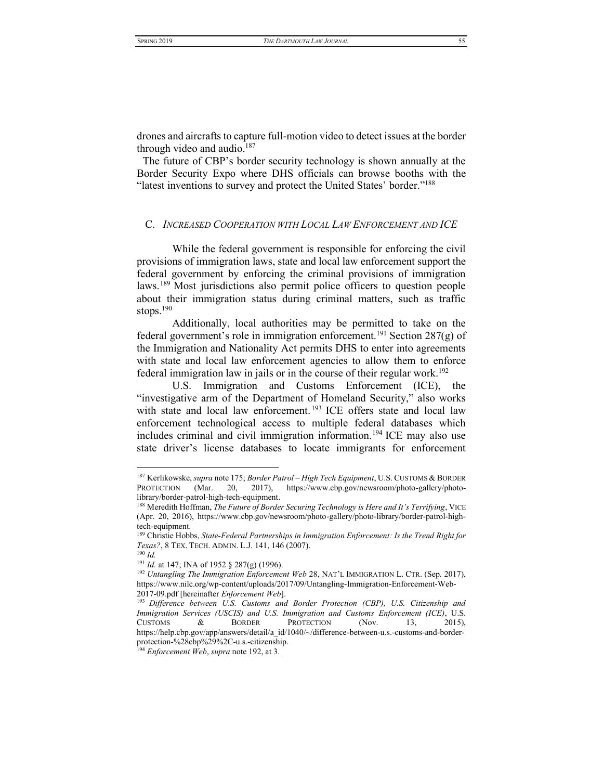drones and aircrafts to capture full-motion video to detect issues at the border through video and audio.<sup>187</sup>

The future of CBP's border security technology is shown annually at the Border Security Expo where DHS officials can browse booths with the "latest inventions to survey and protect the United States' border."<sup>188</sup>

# <span id="page-21-0"></span>C. INCREASED COOPERATION WITH LOCAL LAW ENFORCEMENT AND ICE

While the federal government is responsible for enforcing the civil provisions of immigration laws, state and local law enforcement support the federal government by enforcing the criminal provisions of immigration laws.<sup>189</sup> Most jurisdictions also permit police officers to question people about their immigration status during criminal matters, such as traffic stops. $190$ 

Additionally, local authorities may be permitted to take on the federal government's role in immigration enforcement.<sup>191</sup> Section 287(g) of the Immigration and Nationality Act permits DHS to enter into agreements with state and local law enforcement agencies to allow them to enforce federal immigration law in jails or in the course of their regular work.<sup>192</sup>

U.S. Immigration and Customs Enforcement (ICE), the "investigative arm of the Department of Homeland Security," also works with state and local law enforcement.<sup>193</sup> ICE offers state and local law enforcement technological access to multiple federal databases which includes criminal and civil immigration information.<sup>194</sup> ICE may also use state driver's license databases to locate immigrants for enforcement

<sup>&</sup>lt;sup>187</sup> Kerlikowske, supra note 175; Border Patrol - High Tech Equipment, U.S. CUSTOMS & BORDER PROTECTION (Mar. 20, 2017), https://www.cbp.gov/newsroom/photo-gallery/photolibrary/border-patrol-high-tech-equipment.

<sup>&</sup>lt;sup>188</sup> Meredith Hoffman, The Future of Border Securing Technology is Here and It's Terrifying, VICE (Apr. 20, 2016), https://www.cbp.gov/newsroom/photo-gallery/photo-library/border-patrol-hightech-equipment.

<sup>&</sup>lt;sup>189</sup> Christie Hobbs, State-Federal Partnerships in Immigration Enforcement: Is the Trend Right for Texas?, 8 TEX. TECH. ADMIN. L.J. 141, 146 (2007).  $190$  *Id.* 

<sup>&</sup>lt;sup>191</sup> Id. at 147; INA of 1952  $\frac{8}{287(g)}$  (1996).

<sup>&</sup>lt;sup>192</sup> Untangling The Immigration Enforcement Web 28, NAT'L IMMIGRATION L. CTR. (Sep. 2017), https://www.nilc.org/wp-content/uploads/2017/09/Untangling-Immigration-Enforcement-Web-2017-09.pdf [hereinafter Enforcement Web].

<sup>&</sup>lt;sup>193</sup> Difference between U.S. Customs and Border Protection (CBP), U.S. Citizenship and Immigration Services (USCIS) and U.S. Immigration and Customs Enforcement (ICE), U.S. **BORDER CUSTOMS** & **PROTECTION** (Nov. 13.  $2015$ , https://help.cbp.gov/app/answers/detail/a id/1040/~/difference-between-u.s.-customs-and-borderprotection-%28cbp%29%2C-u.s.-citizenship.<br><sup>194</sup> Enforcement Web, supra note 192, at 3.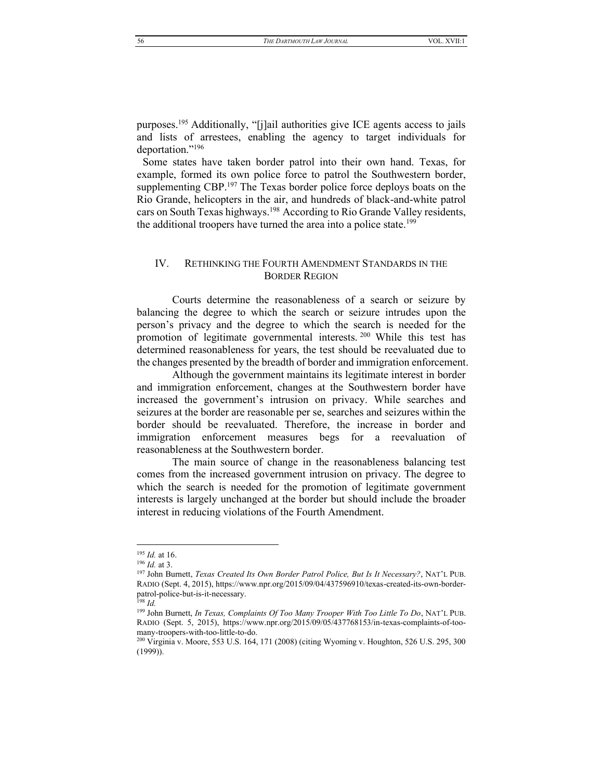purposes.<sup>195</sup> Additionally, "[j]ail authorities give ICE agents access to jails and lists of arrestees, enabling the agency to target individuals for deportation."<sup>196</sup>

Some states have taken border patrol into their own hand. Texas, for example, formed its own police force to patrol the Southwestern border, supplementing CBP.<sup>197</sup> The Texas border police force deploys boats on the Rio Grande, helicopters in the air, and hundreds of black-and-white patrol cars on South Texas highways.<sup>198</sup> According to Rio Grande Valley residents, the additional troopers have turned the area into a police state.<sup>199</sup>

# <span id="page-22-0"></span>IV. RETHINKING THE FOURTH AMENDMENT STANDARDS IN THE BORDER REGION

Courts determine the reasonableness of a search or seizure by balancing the degree to which the search or seizure intrudes upon the person's privacy and the degree to which the search is needed for the promotion of legitimate governmental interests.<sup>200</sup> While this test has determined reasonableness for years, the test should be reevaluated due to the changes presented by the breadth of border and immigration enforcement.

Although the government maintains its legitimate interest in border and immigration enforcement, changes at the Southwestern border have increased the government's intrusion on privacy. While searches and seizures at the border are reasonable per se, searches and seizures within the border should be reevaluated. Therefore, the increase in border and immigration enforcement measures begs for a reevaluation of reasonableness at the Southwestern border.

The main source of change in the reasonableness balancing test comes from the increased government intrusion on privacy. The degree to which the search is needed for the promotion of legitimate government interests is largely unchanged at the border but should include the broader interest in reducing violations of the Fourth Amendment.

<sup>195</sup> *Id.* at 16.

<sup>196</sup> *Id.* at 3.

<sup>&</sup>lt;sup>197</sup> John Burnett, *Texas Created Its Own Border Patrol Police*, But Is It Necessary?, NAT'L PUB. RADIO (Sept. 4, 2015), https://www.npr.org/2015/09/04/437596910/texas-created-its-own-borderpatrol-police-but-is-it-necessary.

<sup>198</sup> *Id.*

<sup>&</sup>lt;sup>199</sup> John Burnett, *In Texas, Complaints Of Too Many Trooper With Too Little To Do*, NAT'L PUB. RADIO (Sept. 5, 2015), https://www.npr.org/2015/09/05/437768153/in-texas-complaints-of-toomany-troopers-with-too-little-to-do.

<sup>200</sup> Virginia v. Moore, 553 U.S. 164, 171 (2008) (citing Wyoming v. Houghton, 526 U.S. 295, 300 (1999)).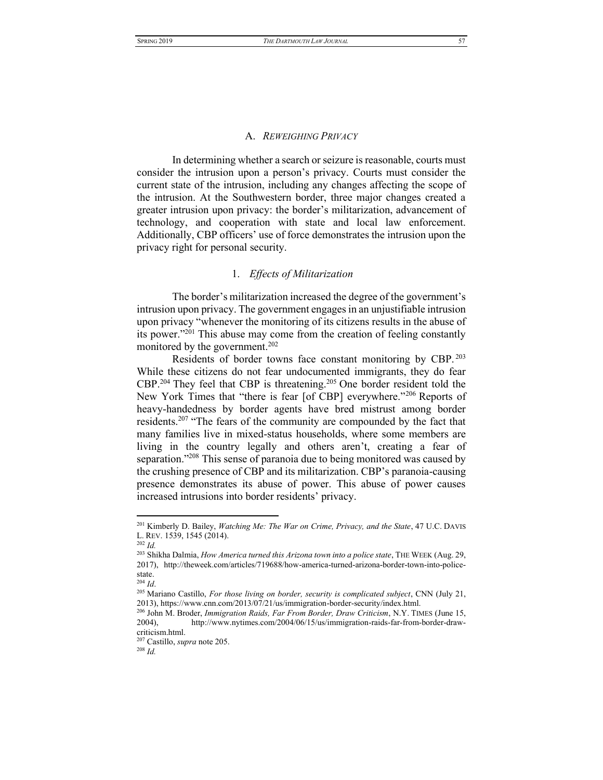#### A. *REWEIGHING PRIVACY*

<span id="page-23-0"></span>In determining whether a search or seizure is reasonable, courts must consider the intrusion upon a person's privacy. Courts must consider the current state of the intrusion, including any changes affecting the scope of the intrusion. At the Southwestern border, three major changes created a greater intrusion upon privacy: the border's militarization, advancement of technology, and cooperation with state and local law enforcement. Additionally, CBP officers' use of force demonstrates the intrusion upon the privacy right for personal security.

# 1. *Effects of Militarization*

<span id="page-23-1"></span>The border's militarization increased the degree of the government's intrusion upon privacy. The government engages in an unjustifiable intrusion upon privacy "whenever the monitoring of its citizens results in the abuse of its power."<sup>201</sup> This abuse may come from the creation of feeling constantly monitored by the government.<sup>202</sup>

Residents of border towns face constant monitoring by CBP. <sup>203</sup> While these citizens do not fear undocumented immigrants, they do fear CBP.204 They feel that CBP is threatening.205 One border resident told the New York Times that "there is fear [of CBP] everywhere.<sup>"206</sup> Reports of heavy-handedness by border agents have bred mistrust among border residents.<sup>207</sup> "The fears of the community are compounded by the fact that many families live in mixed-status households, where some members are living in the country legally and others aren't, creating a fear of separation.<sup> $v_{208}$ </sup> This sense of paranoia due to being monitored was caused by the crushing presence of CBP and its militarization. CBP's paranoia-causing presence demonstrates its abuse of power. This abuse of power causes increased intrusions into border residents' privacy.

<sup>207</sup> Castillo, *supra* note 205.

<sup>201</sup> Kimberly D. Bailey, *Watching Me: The War on Crime, Privacy, and the State*, 47 U.C. DAVIS L. REV. 1539, 1545 (2014).

 $\frac{1}{202}$  *Id.* 

<sup>203</sup> Shikha Dalmia, *How America turned this Arizona town into a police state*, THE WEEK (Aug. 29, 2017), http://theweek.com/articles/719688/how-america-turned-arizona-border-town-into-policestate.

<sup>204</sup> *Id*.

<sup>205</sup> Mariano Castillo, *For those living on border, security is complicated subject*, CNN (July 21, 2013), https://www.cnn.com/2013/07/21/us/immigration-border-security/index.html.

<sup>206</sup> John M. Broder, *Immigration Raids, Far From Border, Draw Criticism*, N.Y. TIMES (June 15, 2004), http://www.nytimes.com/2004/06/15/us/immigration-raids-far-from-border-drawcriticism.html.

<sup>208</sup> *Id.*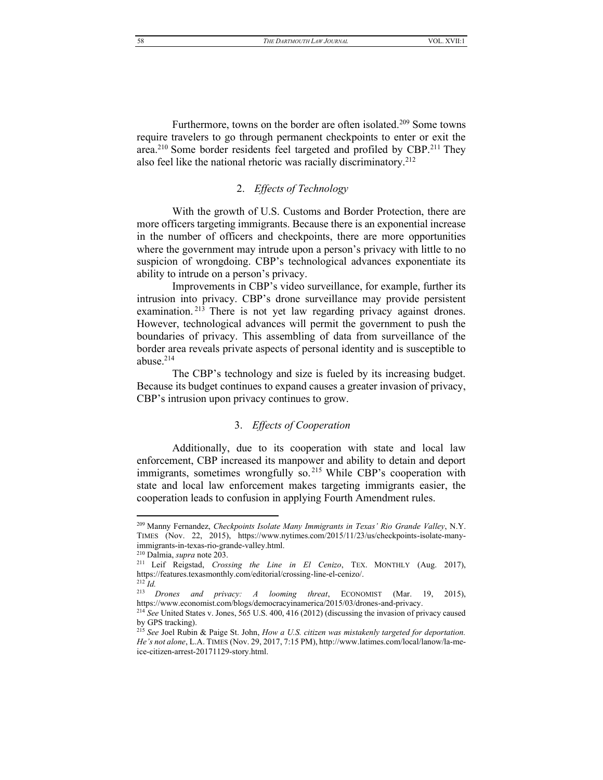Furthermore, towns on the border are often isolated.<sup>209</sup> Some towns require travelers to go through permanent checkpoints to enter or exit the area.<sup>210</sup> Some border residents feel targeted and profiled by CBP.<sup>211</sup> They also feel like the national rhetoric was racially discriminatory.<sup>212</sup>

# 2. Effects of Technology

<span id="page-24-0"></span>With the growth of U.S. Customs and Border Protection, there are more officers targeting immigrants. Because there is an exponential increase in the number of officers and checkpoints, there are more opportunities where the government may intrude upon a person's privacy with little to no suspicion of wrongdoing. CBP's technological advances exponentiate its ability to intrude on a person's privacy.

Improvements in CBP's video surveillance, for example, further its intrusion into privacy. CBP's drone surveillance may provide persistent examination.<sup>213</sup> There is not yet law regarding privacy against drones. However, technological advances will permit the government to push the boundaries of privacy. This assembling of data from surveillance of the border area reveals private aspects of personal identity and is susceptible to abuse. $214$ 

<span id="page-24-1"></span>The CBP's technology and size is fueled by its increasing budget. Because its budget continues to expand causes a greater invasion of privacy, CBP's intrusion upon privacy continues to grow.

# 3. Effects of Cooperation

Additionally, due to its cooperation with state and local law enforcement, CBP increased its manpower and ability to detain and deport immigrants, sometimes wrongfully so.<sup>215</sup> While CBP's cooperation with state and local law enforcement makes targeting immigrants easier, the cooperation leads to confusion in applying Fourth Amendment rules.

<sup>&</sup>lt;sup>209</sup> Manny Fernandez, Checkpoints Isolate Many Immigrants in Texas' Rio Grande Valley, N.Y. TIMES (Nov. 22, 2015), https://www.nytimes.com/2015/11/23/us/checkpoints-isolate-manyimmigrants-in-texas-rio-grande-valley.html.

<sup>&</sup>lt;sup>210</sup> Dalmia, *supra* note 203.

<sup>&</sup>lt;sup>211</sup> Leif Reigstad, *Crossing the Line in El Cenizo*, TEX. MONTHLY (Aug. 2017), https://features.texasmonthly.com/editorial/crossing-line-el-cenizo/.  $^{212}$   $\overline{Id}$ .

<sup>&</sup>lt;sup>213</sup> Drones and privacy: A looming threat, ECONOMIST (Mar. 19, 2015), https://www.economist.com/blogs/democracyinamerica/2015/03/drones-and-privacy.

<sup>&</sup>lt;sup>214</sup> See United States v. Jones, 565 U.S. 400, 416 (2012) (discussing the invasion of privacy caused by GPS tracking).

<sup>&</sup>lt;sup>215</sup> See Joel Rubin & Paige St. John, *How a U.S. citizen was mistakenly targeted for deportation*. He's not alone, L.A. TIMES (Nov. 29, 2017, 7:15 PM), http://www.latimes.com/local/lanow/la-meice-citizen-arrest-20171129-story.html.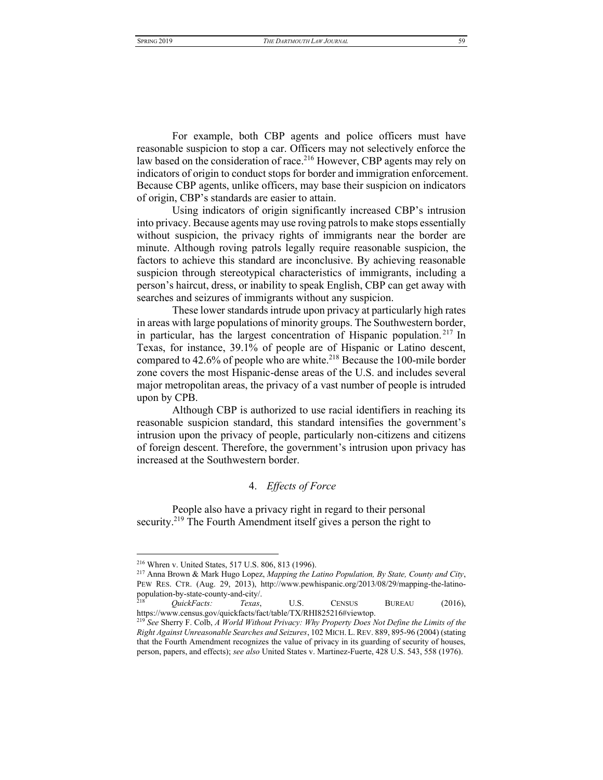For example, both CBP agents and police officers must have reasonable suspicion to stop a car. Officers may not selectively enforce the law based on the consideration of race.<sup>216</sup> However, CBP agents may rely on indicators of origin to conduct stops for border and immigration enforcement. Because CBP agents, unlike officers, may base their suspicion on indicators of origin, CBP's standards are easier to attain.

Using indicators of origin significantly increased CBP's intrusion into privacy. Because agents may use roving patrols to make stops essentially without suspicion, the privacy rights of immigrants near the border are minute. Although roving patrols legally require reasonable suspicion, the factors to achieve this standard are inconclusive. By achieving reasonable suspicion through stereotypical characteristics of immigrants, including a person's haircut, dress, or inability to speak English, CBP can get away with searches and seizures of immigrants without any suspicion.

These lower standards intrude upon privacy at particularly high rates in areas with large populations of minority groups. The Southwestern border, in particular, has the largest concentration of Hispanic population. <sup>217</sup> In Texas, for instance, 39.1% of people are of Hispanic or Latino descent, compared to  $42.6\%$  of people who are white.<sup>218</sup> Because the 100-mile border zone covers the most Hispanic-dense areas of the U.S. and includes several major metropolitan areas, the privacy of a vast number of people is intruded upon by CPB.

Although CBP is authorized to use racial identifiers in reaching its reasonable suspicion standard, this standard intensifies the government's intrusion upon the privacy of people, particularly non-citizens and citizens of foreign descent. Therefore, the government's intrusion upon privacy has increased at the Southwestern border.

# 4. *Effects of Force*

<span id="page-25-0"></span>People also have a privacy right in regard to their personal security.<sup>219</sup> The Fourth Amendment itself gives a person the right to

<sup>216</sup> Whren v. United States, 517 U.S. 806, 813 (1996).

<sup>217</sup> Anna Brown & Mark Hugo Lopez, *Mapping the Latino Population, By State, County and City*, PEW RES. CTR. (Aug. 29, 2013), http://www.pewhispanic.org/2013/08/29/mapping-the-latinopopulation-by-state-county-and-city/.

<sup>218</sup> *QuickFacts: Texas*, U.S. CENSUS BUREAU (2016), https://www.census.gov/quickfacts/fact/table/TX/RHI825216#viewtop.

<sup>219</sup> *See* Sherry F. Colb, *A World Without Privacy: Why Property Does Not Define the Limits of the Right Against Unreasonable Searches and Seizures*, 102 MICH. L. REV. 889, 895-96 (2004) (stating that the Fourth Amendment recognizes the value of privacy in its guarding of security of houses, person, papers, and effects); *see also* United States v. Martinez-Fuerte, 428 U.S. 543, 558 (1976).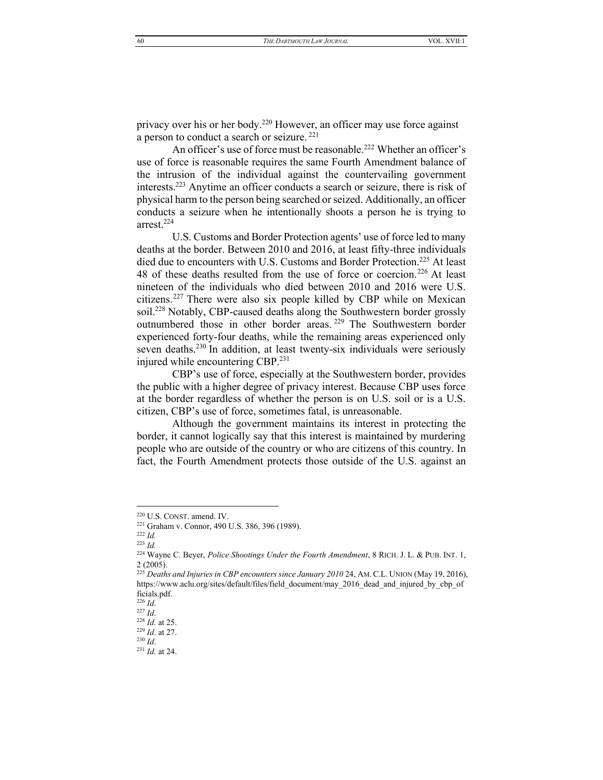privacy over his or her body.<sup>220</sup> However, an officer may use force against a person to conduct a search or seizure.<sup>221</sup>

An officer's use of force must be reasonable.<sup>222</sup> Whether an officer's use of force is reasonable requires the same Fourth Amendment balance of the intrusion of the individual against the countervailing government interests.223 Anytime an officer conducts a search or seizure, there is risk of physical harm to the person being searched or seized. Additionally, an officer conducts a seizure when he intentionally shoots a person he is trying to arrest.224

U.S. Customs and Border Protection agents' use of force led to many deaths at the border. Between 2010 and 2016, at least fifty-three individuals died due to encounters with U.S. Customs and Border Protection.<sup>225</sup> At least 48 of these deaths resulted from the use of force or coercion.<sup>226</sup> At least nineteen of the individuals who died between 2010 and 2016 were U.S. citizens.227 There were also six people killed by CBP while on Mexican soil.<sup>228</sup> Notably, CBP-caused deaths along the Southwestern border grossly outnumbered those in other border areas. <sup>229</sup> The Southwestern border experienced forty-four deaths, while the remaining areas experienced only seven deaths.<sup>230</sup> In addition, at least twenty-six individuals were seriously injured while encountering CBP.<sup>231</sup>

CBP's use of force, especially at the Southwestern border, provides the public with a higher degree of privacy interest. Because CBP uses force at the border regardless of whether the person is on U.S. soil or is a U.S. citizen, CBP's use of force, sometimes fatal, is unreasonable.

Although the government maintains its interest in protecting the border, it cannot logically say that this interest is maintained by murdering people who are outside of the country or who are citizens of this country. In fact, the Fourth Amendment protects those outside of the U.S. against an

<sup>220</sup> U.S. CONST. amend. IV.

<sup>221</sup> Graham v. Connor, 490 U.S. 386, 396 (1989).

<sup>222</sup> *Id.* <sup>223</sup> *Id.*

<sup>224</sup> Wayne C. Beyer, *Police Shootings Under the Fourth Amendment*, 8 RICH. J. L. & PUB. INT. 1, 2 (2005).

<sup>225</sup> *Deaths and Injuries in CBP encounters since January 2010* 24, AM. C.L. UNION (May 19, 2016), https://www.aclu.org/sites/default/files/field\_document/may\_2016\_dead\_and\_injured\_by\_cbp\_of ficials.pdf.

<sup>226</sup> *Id*.

<sup>227</sup> *Id*.

<sup>228</sup> *Id.* at 25. <sup>229</sup> *Id*. at 27.

<sup>230</sup> *Id*.

<sup>231</sup> *Id*. at 24.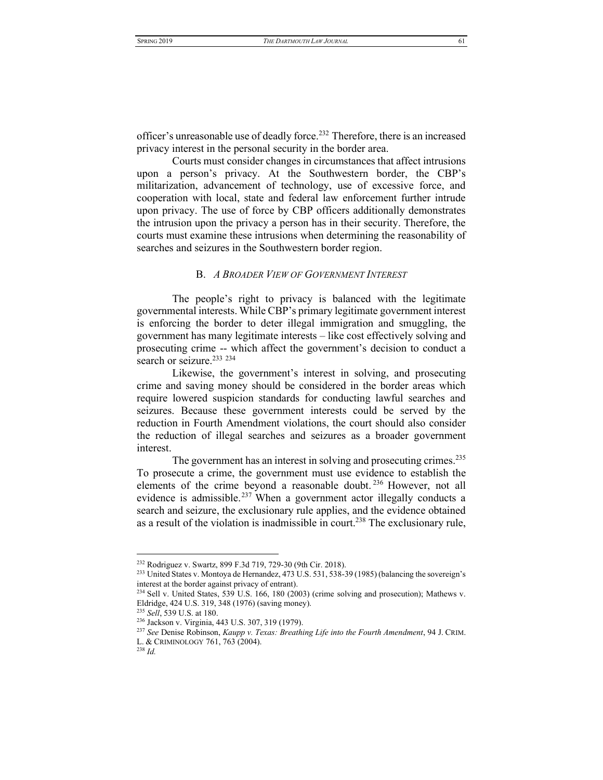officer's unreasonable use of deadly force.<sup>232</sup> Therefore, there is an increased privacy interest in the personal security in the border area.

Courts must consider changes in circumstances that affect intrusions upon a person's privacy. At the Southwestern border, the CBP's militarization, advancement of technology, use of excessive force, and cooperation with local, state and federal law enforcement further intrude upon privacy. The use of force by CBP officers additionally demonstrates the intrusion upon the privacy a person has in their security. Therefore, the courts must examine these intrusions when determining the reasonability of searches and seizures in the Southwestern border region.

#### B. *A BROADER VIEW OF GOVERNMENT INTEREST*

<span id="page-27-0"></span>The people's right to privacy is balanced with the legitimate governmental interests. While CBP's primary legitimate government interest is enforcing the border to deter illegal immigration and smuggling, the government has many legitimate interests - like cost effectively solving and prosecuting crime -- which affect the government's decision to conduct a search or seizure.<sup>233</sup> <sup>234</sup>

Likewise, the government's interest in solving, and prosecuting crime and saving money should be considered in the border areas which require lowered suspicion standards for conducting lawful searches and seizures. Because these government interests could be served by the reduction in Fourth Amendment violations, the court should also consider the reduction of illegal searches and seizures as a broader government interest.

The government has an interest in solving and prosecuting crimes.<sup>235</sup> To prosecute a crime, the government must use evidence to establish the elements of the crime beyond a reasonable doubt. <sup>236</sup> However, not all evidence is admissible.<sup>237</sup> When a government actor illegally conducts a search and seizure, the exclusionary rule applies, and the evidence obtained as a result of the violation is inadmissible in court.<sup>238</sup> The exclusionary rule,

<sup>232</sup> Rodriguez v. Swartz, 899 F.3d 719, 729-30 (9th Cir. 2018).

<sup>&</sup>lt;sup>233</sup> United States v. Montoya de Hernandez, 473 U.S. 531, 538-39 (1985) (balancing the sovereign's interest at the border against privacy of entrant).

 $^{234}$  Sell v. United States, 539 U.S. 166, 180 (2003) (crime solving and prosecution); Mathews v. Eldridge, 424 U.S. 319, 348 (1976) (saving money).

<sup>235</sup> *Sell*, 539 U.S. at 180.

<sup>236</sup> Jackson v. Virginia, 443 U.S. 307, 319 (1979).

<sup>237</sup> *See* Denise Robinson, *Kaupp v. Texas: Breathing Life into the Fourth Amendment*, 94 J. CRIM. L. & CRIMINOLOGY 761, 763 (2004).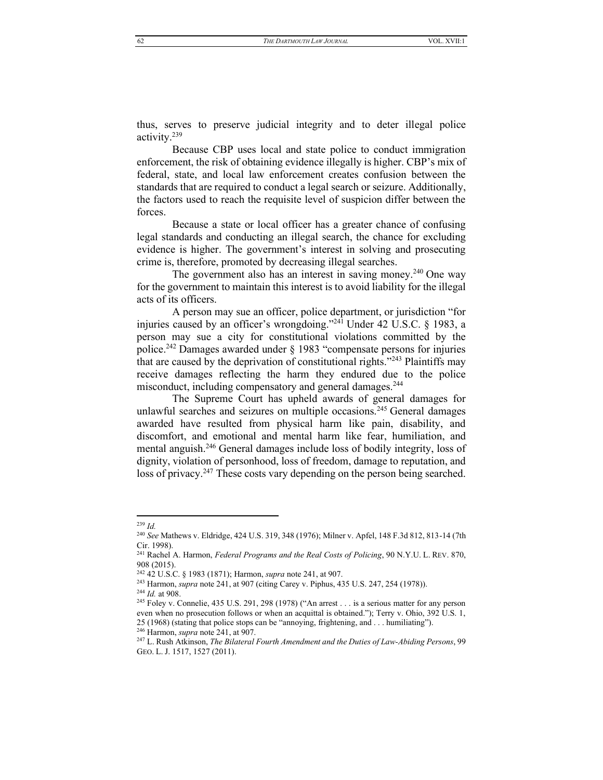thus, serves to preserve judicial integrity and to deter illegal police activity.239

Because CBP uses local and state police to conduct immigration enforcement, the risk of obtaining evidence illegally is higher. CBP's mix of federal, state, and local law enforcement creates confusion between the standards that are required to conduct a legal search or seizure. Additionally, the factors used to reach the requisite level of suspicion differ between the forces.

Because a state or local officer has a greater chance of confusing legal standards and conducting an illegal search, the chance for excluding evidence is higher. The government's interest in solving and prosecuting crime is, therefore, promoted by decreasing illegal searches.

The government also has an interest in saving money.<sup>240</sup> One way for the government to maintain this interest is to avoid liability for the illegal acts of its officers.

<span id="page-28-0"></span>A person may sue an officer, police department, or jurisdiction "for injuries caused by an officer's wrongdoing.<sup>"241</sup> Under 42 U.S.C. § 1983, a person may sue a city for constitutional violations committed by the police.<sup>242</sup> Damages awarded under  $\S$  1983 "compensate persons for injuries that are caused by the deprivation of constitutional rights.<sup> $243$ </sup> Plaintiffs may receive damages reflecting the harm they endured due to the police misconduct, including compensatory and general damages.<sup>244</sup>

The Supreme Court has upheld awards of general damages for unlawful searches and seizures on multiple occasions.<sup>245</sup> General damages awarded have resulted from physical harm like pain, disability, and discomfort, and emotional and mental harm like fear, humiliation, and mental anguish.<sup>246</sup> General damages include loss of bodily integrity, loss of dignity, violation of personhood, loss of freedom, damage to reputation, and loss of privacy.<sup>247</sup> These costs vary depending on the person being searched.

<sup>239</sup> *Id.*

<sup>240</sup> *See* Mathews v. Eldridge, 424 U.S. 319, 348 (1976); Milner v. Apfel, 148 F.3d 812, 813-14 (7th Cir. 1998).

<sup>241</sup> Rachel A. Harmon, *Federal Programs and the Real Costs of Policing*, 90 N.Y.U. L. REV. 870, 908 (2015).

<sup>242</sup> 42 U.S.C. § 1983 (1871); Harmon, *supra* note [241,](#page-28-0) at 907.

<sup>243</sup> Harmon, *supra* not[e 241,](#page-28-0) at 907 (citing Carey v. Piphus, 435 U.S. 247, 254 (1978)).

<sup>244</sup> *Id.* at 908.

<sup>&</sup>lt;sup>245</sup> Foley v. Connelie, 435 U.S. 291, 298 (1978) ("An arrest . . . is a serious matter for any person even when no prosecution follows or when an acquittal is obtained.''); Terry v. Ohio, 392 U.S. 1,

 $25$  (1968) (stating that police stops can be "annoying, frightening, and . . . humiliating").

<sup>246</sup> Harmon, *supra* not[e 241,](#page-28-0) at 907.

<sup>247</sup> L. Rush Atkinson, *The Bilateral Fourth Amendment and the Duties of Law-Abiding Persons*, 99 GEO. L. J. 1517, 1527 (2011).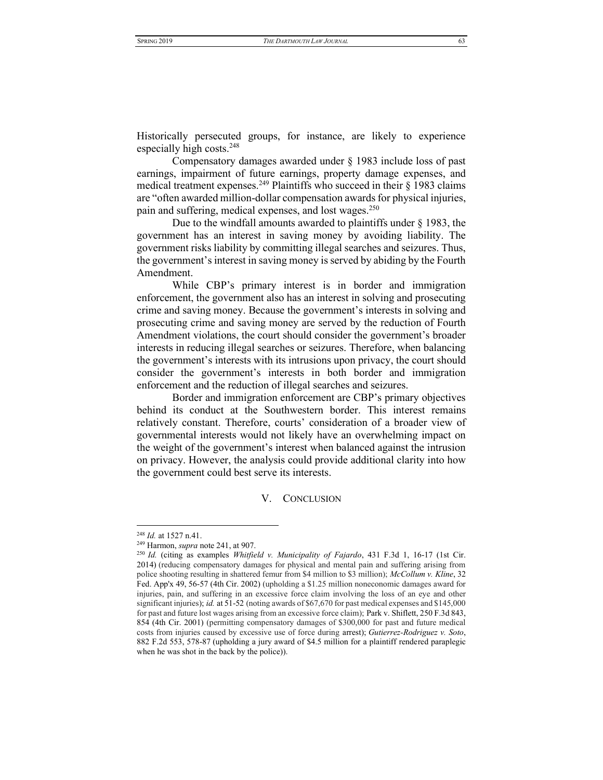Historically persecuted groups, for instance, are likely to experience especially high costs.248

Compensatory damages awarded under § 1983 include loss of past earnings, impairment of future earnings, property damage expenses, and medical treatment expenses.<sup>249</sup> Plaintiffs who succeed in their  $\S$  1983 claims are "often awarded million-dollar compensation awards for physical injuries, pain and suffering, medical expenses, and lost wages.<sup>250</sup>

Due to the windfall amounts awarded to plaintiffs under § 1983, the government has an interest in saving money by avoiding liability. The government risks liability by committing illegal searches and seizures. Thus, the government's interest in saving money is served by abiding by the Fourth Amendment.

While CBP's primary interest is in border and immigration enforcement, the government also has an interest in solving and prosecuting crime and saving money. Because the government's interests in solving and prosecuting crime and saving money are served by the reduction of Fourth Amendment violations, the court should consider the government's broader interests in reducing illegal searches or seizures. Therefore, when balancing the government's interests with its intrusions upon privacy, the court should consider the government's interests in both border and immigration enforcement and the reduction of illegal searches and seizures.

Border and immigration enforcement are CBP's primary objectives behind its conduct at the Southwestern border. This interest remains relatively constant. Therefore, courts' consideration of a broader view of governmental interests would not likely have an overwhelming impact on the weight of the government's interest when balanced against the intrusion on privacy. However, the analysis could provide additional clarity into how the government could best serve its interests.

V. CONCLUSION

<span id="page-29-0"></span><sup>248</sup> *Id.* at 1527 n.41.

<sup>249</sup> Harmon, *supra* not[e 241,](#page-28-0) at 907.

<sup>250</sup> *Id.* (citing as examples *Whitfield v. Municipality of Fajardo*, 431 F.3d 1, 16-17 (1st Cir. 2014) (reducing compensatory damages for physical and mental pain and suffering arising from police shooting resulting in shattered femur from \$4 million to \$3 million); *McCollum v. Kline*, 32 Fed. App'x 49, 56-57 (4th Cir. 2002) (upholding a \$1.25 million noneconomic damages award for injuries, pain, and suffering in an excessive force claim involving the loss of an eye and other significant injuries); *id.* at 51-52 (noting awards of \$67,670 for past medical expenses and \$145,000 for past and future lost wages arising from an excessive force claim); Park v. Shiflett, 250 F.3d 843, 854 (4th Cir. 2001) (permitting compensatory damages of \$300,000 for past and future medical costs from injuries caused by excessive use of force during arrest); *Gutierrez-Rodriguez v. Soto*, 882 F.2d 553, 578-87 (upholding a jury award of \$4.5 million for a plaintiff rendered paraplegic when he was shot in the back by the police)).